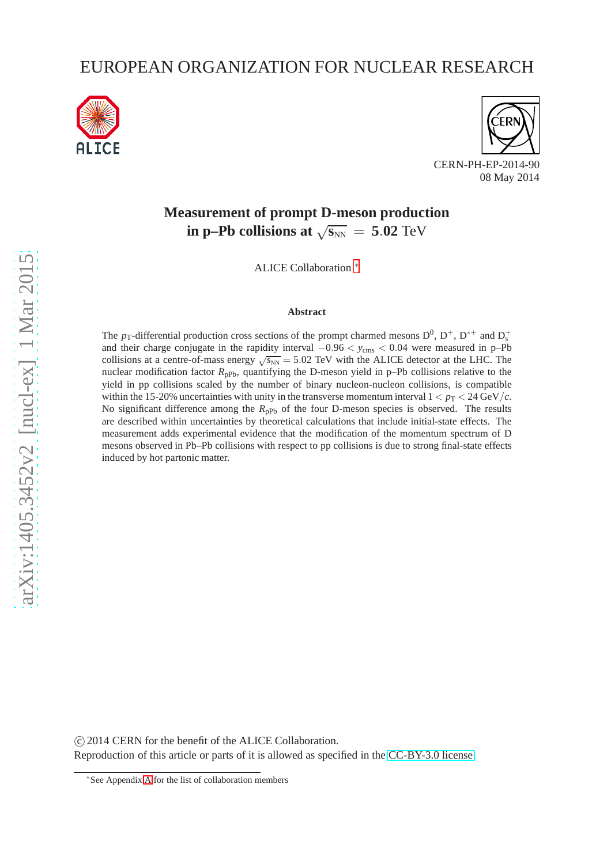# EUROPEAN ORGANIZATION FOR NUCLEAR RESEARCH





08 May 2014

# **Measurement of prompt D-meson production in p–Pb collisions at**  $\sqrt{s_{NN}}$  = 5.02 TeV

ALICE Collaboration ∗

### **Abstract**

The  $p_T$ -differential production cross sections of the prompt charmed mesons  $D^0$ ,  $D^+$ ,  $D^{*+}$  and  $D_s^+$ and their charge conjugate in the rapidity interval  $-0.96 < y_{\text{cms}} < 0.04$  were measured in p–Pb collisions at a centre-of-mass energy  $\sqrt{s_{NN}}$  = 5.02 TeV with the ALICE detector at the LHC. The nuclear modification factor R<sub>pPb</sub>, quantifying the D-meson yield in p–Pb collisions relative to the yield in pp collisions scaled by the number of binary nucleon-nucleon collisions, is compatible within the 15-20% uncertainties with unity in the transverse momentum interval  $1 < p_T < 24 \text{ GeV}/c$ . No significant difference among the R<sub>pPb</sub> of the four D-meson species is observed. The results are described within uncertainties by theoretical calculations that include initial-state effects. The measurement adds experimental evidence that the modification of the momentum spectrum of D mesons observed in Pb–Pb collisions with respect to pp collisions is due to strong final-state effects induced by hot partonic matter.

 c 2014 CERN for the benefit of the ALICE Collaboration. Reproduction of this article or parts of it is allowed as specified in the [CC-BY-3.0 license.](http://creativecommons.org/licenses/by/3.0)

<sup>∗</sup>See Appendix [A](#page-9-0) for the list of collaboration members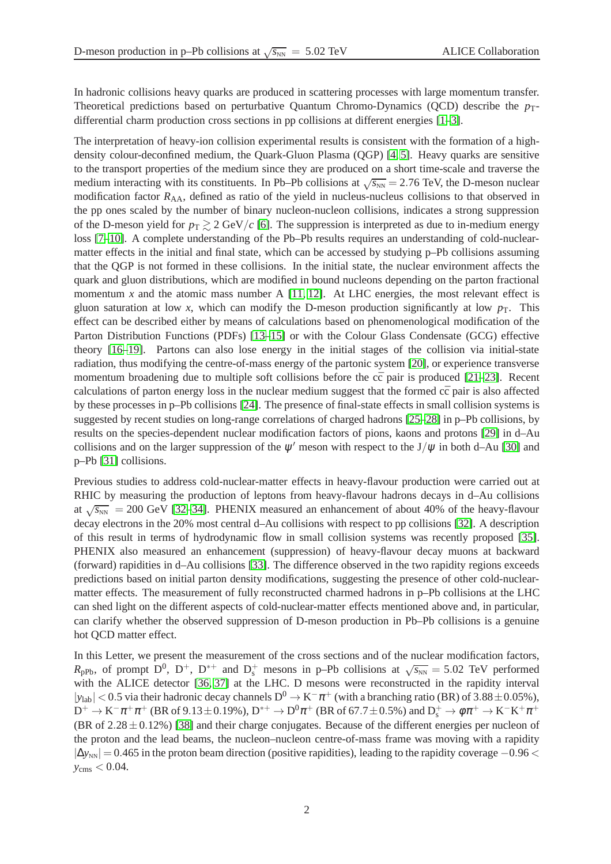In hadronic collisions heavy quarks are produced in scattering processes with large momentum transfer. Theoretical predictions based on perturbative Quantum Chromo-Dynamics (QCD) describe the *p*<sub>T</sub>differential charm production cross sections in pp collisions at different energies [\[1](#page-7-0)[–3\]](#page-7-1).

The interpretation of heavy-ion collision experimental results is consistent with the formation of a highdensity colour-deconfined medium, the Quark-Gluon Plasma (QGP) [\[4,](#page-7-2) [5\]](#page-7-3). Heavy quarks are sensitive to the transport properties of the medium since they are produced on a short time-scale and traverse the medium interacting with its constituents. In Pb–Pb collisions at  $\sqrt{s_{NN}} = 2.76$  TeV, the D-meson nuclear modification factor  $R_{AA}$ , defined as ratio of the yield in nucleus-nucleus collisions to that observed in the pp ones scaled by the number of binary nucleon-nucleon collisions, indicates a strong suppression of the D-meson yield for  $p_T \gtrsim 2 \text{ GeV}/c$  [\[6\]](#page-7-4). The suppression is interpreted as due to in-medium energy loss [\[7–](#page-7-5)[10\]](#page-7-6). A complete understanding of the Pb–Pb results requires an understanding of cold-nuclearmatter effects in the initial and final state, which can be accessed by studying p–Pb collisions assuming that the QGP is not formed in these collisions. In the initial state, the nuclear environment affects the quark and gluon distributions, which are modified in bound nucleons depending on the parton fractional momentum  $x$  and the atomic mass number A  $[11, 12]$  $[11, 12]$ . At LHC energies, the most relevant effect is gluon saturation at low x, which can modify the D-meson production significantly at low  $p<sub>T</sub>$ . This effect can be described either by means of calculations based on phenomenological modification of the Parton Distribution Functions (PDFs) [\[13–](#page-7-9)[15\]](#page-7-10) or with the Colour Glass Condensate (GCG) effective theory [\[16](#page-7-11)[–19\]](#page-7-12). Partons can also lose energy in the initial stages of the collision via initial-state radiation, thus modifying the centre-of-mass energy of the partonic system [\[20\]](#page-7-13), or experience transverse momentum broadening due to multiple soft collisions before the  $c\bar{c}$  pair is produced [\[21–](#page-7-14)[23\]](#page-7-15). Recent calculations of parton energy loss in the nuclear medium suggest that the formed  $c\bar{c}$  pair is also affected by these processes in p–Pb collisions [\[24\]](#page-7-16). The presence of final-state effects in small collision systems is suggested by recent studies on long-range correlations of charged hadrons [\[25](#page-7-17)[–28\]](#page-8-0) in p–Pb collisions, by results on the species-dependent nuclear modification factors of pions, kaons and protons [\[29\]](#page-8-1) in d–Au collisions and on the larger suppression of the  $\psi'$  meson with respect to the J/ $\psi$  in both d–Au [\[30\]](#page-8-2) and p–Pb [\[31\]](#page-8-3) collisions.

Previous studies to address cold-nuclear-matter effects in heavy-flavour production were carried out at RHIC by measuring the production of leptons from heavy-flavour hadrons decays in d–Au collisions at  $\sqrt{s_{NN}}$  = 200 GeV [\[32–](#page-8-4)[34\]](#page-8-5). PHENIX measured an enhancement of about 40% of the heavy-flavour decay electrons in the 20% most central d–Au collisions with respect to pp collisions [\[32\]](#page-8-4). A description of this result in terms of hydrodynamic flow in small collision systems was recently proposed [\[35\]](#page-8-6). PHENIX also measured an enhancement (suppression) of heavy-flavour decay muons at backward (forward) rapidities in d–Au collisions [\[33\]](#page-8-7). The difference observed in the two rapidity regions exceeds predictions based on initial parton density modifications, suggesting the presence of other cold-nuclearmatter effects. The measurement of fully reconstructed charmed hadrons in p–Pb collisions at the LHC can shed light on the different aspects of cold-nuclear-matter effects mentioned above and, in particular, can clarify whether the observed suppression of D-meson production in Pb–Pb collisions is a genuine hot QCD matter effect.

In this Letter, we present the measurement of the cross sections and of the nuclear modification factors,  $R_{\rm pPb}$ , of prompt  $D^0$ ,  $D^+$ ,  $D^{*+}$  and  $D_s^+$  mesons in p–Pb collisions at  $\sqrt{s_{\rm NN}} = 5.02$  TeV performed with the ALICE detector [\[36,](#page-8-8) [37\]](#page-8-9) at the LHC. D mesons were reconstructed in the rapidity interval  $|y_{lab}| < 0.5$  via their hadronic decay channels  $D^0 \rightarrow K^-\pi^+$  (with a branching ratio (BR) of 3.88  $\pm$  0.05%),  $\rm D^+ \to K^-\pi^+\pi^+$  (BR of 9.13 $\pm$ 0.19%),  $\rm D^{*+} \to D^0\pi^+$  (BR of 67.7 $\pm$ 0.5%) and  $\rm D^+_s \to \phi\pi^+ \to K^-K^+\pi^+$ (BR of  $2.28 \pm 0.12\%$ ) [\[38\]](#page-8-10) and their charge conjugates. Because of the different energies per nucleon of the proton and the lead beams, the nucleon–nucleon centre-of-mass frame was moving with a rapidity  $|\Delta y_{NN}|$  = 0.465 in the proton beam direction (positive rapidities), leading to the rapidity coverage −0.96 <  $y_{\rm cms}$   $< 0.04$ .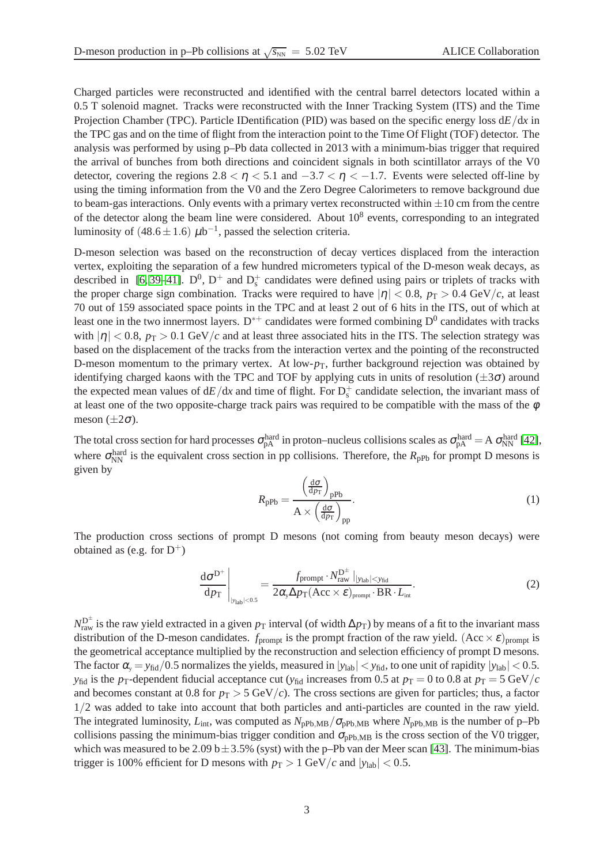Charged particles were reconstructed and identified with the central barrel detectors located within a 0.5 T solenoid magnet. Tracks were reconstructed with the Inner Tracking System (ITS) and the Time Projection Chamber (TPC). Particle IDentification (PID) was based on the specific energy loss d*E*/d*x* in the TPC gas and on the time of flight from the interaction point to the Time Of Flight (TOF) detector. The analysis was performed by using p–Pb data collected in 2013 with a minimum-bias trigger that required the arrival of bunches from both directions and coincident signals in both scintillator arrays of the V0 detector, covering the regions  $2.8 < \eta < 5.1$  and  $-3.7 < \eta < -1.7$ . Events were selected off-line by using the timing information from the V0 and the Zero Degree Calorimeters to remove background due to beam-gas interactions. Only events with a primary vertex reconstructed within  $\pm 10$  cm from the centre of the detector along the beam line were considered. About  $10^8$  events, corresponding to an integrated luminosity of  $(48.6 \pm 1.6) \mu b^{-1}$ , passed the selection criteria.

D-meson selection was based on the reconstruction of decay vertices displaced from the interaction vertex, exploiting the separation of a few hundred micrometers typical of the D-meson weak decays, as described in [\[6,](#page-7-4)39–[41\]](#page-8-12).  $D^0$ ,  $D^+$  and  $D_s^+$  candidates were defined using pairs or triplets of tracks with the proper charge sign combination. Tracks were required to have  $|\eta| < 0.8$ ,  $p_T > 0.4$  GeV/*c*, at least 70 out of 159 associated space points in the TPC and at least 2 out of 6 hits in the ITS, out of which at least one in the two innermost layers. D<sup>\*+</sup> candidates were formed combining  $D^0$  candidates with tracks with  $|\eta| < 0.8$ ,  $p_T > 0.1$  GeV/*c* and at least three associated hits in the ITS. The selection strategy was based on the displacement of the tracks from the interaction vertex and the pointing of the reconstructed D-meson momentum to the primary vertex. At low- $p<sub>T</sub>$ , further background rejection was obtained by identifying charged kaons with the TPC and TOF by applying cuts in units of resolution  $(\pm 3\sigma)$  around the expected mean values of  $dE/dx$  and time of flight. For  $D_s^+$  candidate selection, the invariant mass of at least one of the two opposite-charge track pairs was required to be compatible with the mass of the  $\phi$ meson  $(\pm 2\sigma)$ .

The total cross section for hard processes  $\sigma_{pA}^{hard}$  in proton–nucleus collisions scales as  $\sigma_{pA}^{hard} = A \sigma_{NN}^{hard}$  [\[42\]](#page-8-13), where  $\sigma_{NN}^{\text{hard}}$  is the equivalent cross section in pp collisions. Therefore, the  $R_{pPb}$  for prompt D mesons is given by

$$
R_{\rm pPb} = \frac{\left(\frac{\rm d\sigma}{\rm d\rho_{\rm T}}\right)_{\rm pPb}}{A \times \left(\frac{\rm d\sigma}{\rm d\rho_{\rm T}}\right)_{\rm pp}}.\tag{1}
$$

The production cross sections of prompt D mesons (not coming from beauty meson decays) were obtained as (e.g. for  $D^+$ )

$$
\left. \frac{\mathrm{d}\sigma^{\mathrm{D}^+}}{\mathrm{d}p_{\mathrm{T}}}\right|_{|y_{\mathrm{lab}}|<0.5} = \frac{f_{\mathrm{prompt}} \cdot N_{\mathrm{raw}}^{\mathrm{D}^{\pm}}\left|_{|y_{\mathrm{lab}}|
$$

 $N_{\rm raw}^{\rm D^{\pm}}$  is the raw yield extracted in a given  $p_{\rm T}$  interval (of width ∆ $p_{\rm T}$ ) by means of a fit to the invariant mass distribution of the D-meson candidates.  $f_{\text{prompt}}$  is the prompt fraction of the raw yield.  $(Acc \times \varepsilon)_{\text{prompt}}$  is the geometrical acceptance multiplied by the reconstruction and selection efficiency of prompt D mesons. The factor  $\alpha_{\rm v} = y_{\rm fid}/0.5$  normalizes the yields, measured in  $|y_{\rm lab}| < y_{\rm fid}$ , to one unit of rapidity  $|y_{\rm lab}| < 0.5$ . *y*<sub>fid</sub> is the *p*<sub>T</sub>-dependent fiducial acceptance cut (*y*<sub>fid</sub> increases from 0.5 at *p*<sub>T</sub> = 0 to 0.8 at *p*<sub>T</sub> = 5 GeV/*c* and becomes constant at 0.8 for  $p_T > 5$  GeV/*c*). The cross sections are given for particles; thus, a factor 1/2 was added to take into account that both particles and anti-particles are counted in the raw yield. The integrated luminosity,  $L_{int}$ , was computed as  $N_{pPb,MB}/\sigma_{pPb,MB}$  where  $N_{pPb,MB}$  is the number of p–Pb collisions passing the minimum-bias trigger condition and  $\sigma_{\text{pPb,MB}}$  is the cross section of the V0 trigger, which was measured to be 2.09 b  $\pm$  3.5% (syst) with the p–Pb van der Meer scan [\[43\]](#page-8-14). The minimum-bias trigger is 100% efficient for D mesons with  $p_T > 1$  GeV/*c* and  $|y_{lab}| < 0.5$ .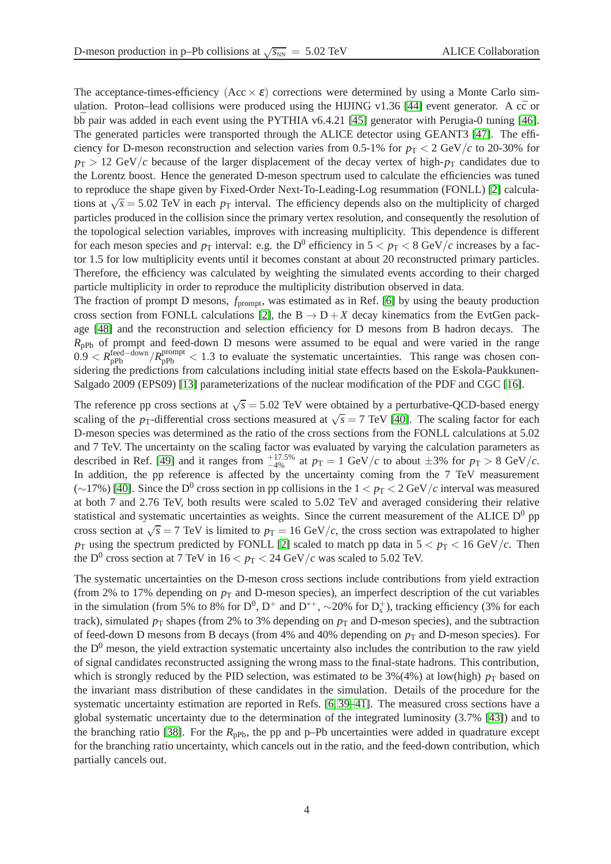The acceptance-times-efficiency  $(Acc \times \varepsilon)$  corrections were determined by using a Monte Carlo sim-ulation. Proton–lead collisions were produced using the HIJING v1.36 [\[44\]](#page-8-15) event generator. A  $c\bar{c}$  or  $b\bar{b}$  pair was added in each event using the PYTHIA v6.4.21 [\[45\]](#page-8-16) generator with Perugia-0 tuning [\[46\]](#page-8-17). The generated particles were transported through the ALICE detector using GEANT3 [\[47\]](#page-8-18). The efficiency for D-meson reconstruction and selection varies from 0.5-1% for  $p_T < 2 \text{ GeV}/c$  to 20-30% for  $p_T > 12$  GeV/*c* because of the larger displacement of the decay vertex of high- $p_T$  candidates due to the Lorentz boost. Hence the generated D-meson spectrum used to calculate the efficiencies was tuned to reproduce the shape given by Fixed-Order Next-To-Leading-Log resummation (FONLL) [\[2\]](#page-7-18) calculations at  $\sqrt{s}$  = 5.02 TeV in each  $p_T$  interval. The efficiency depends also on the multiplicity of charged particles produced in the collision since the primary vertex resolution, and consequently the resolution of the topological selection variables, improves with increasing multiplicity. This dependence is different for each meson species and  $p<sub>T</sub>$  interval: e.g. the D<sup>0</sup> efficiency in  $5 < p<sub>T</sub> < 8$  GeV/*c* increases by a factor 1.5 for low multiplicity events until it becomes constant at about 20 reconstructed primary particles. Therefore, the efficiency was calculated by weighting the simulated events according to their charged particle multiplicity in order to reproduce the multiplicity distribution observed in data.

The fraction of prompt D mesons,  $f_{\text{prompt}}$ , was estimated as in Ref. [\[6\]](#page-7-4) by using the beauty production cross section from FONLL calculations [\[2\]](#page-7-18), the  $B \to D + X$  decay kinematics from the EvtGen package [\[48\]](#page-8-19) and the reconstruction and selection efficiency for D mesons from B hadron decays. The  $R_{nPb}$  of prompt and feed-down D mesons were assumed to be equal and were varied in the range  $0.9 < R_{\rm pPb}^{\rm feed-down}/R_{\rm pPb}^{\rm prompt} < 1.3$  to evaluate the systematic uncertainties. This range was chosen considering the predictions from calculations including initial state effects based on the Eskola-Paukkunen-Salgado 2009 (EPS09) [\[13\]](#page-7-9) parameterizations of the nuclear modification of the PDF and CGC [\[16\]](#page-7-11).

The reference pp cross sections at  $\sqrt{s}$  = 5.02 TeV were obtained by a perturbative-QCD-based energy scaling of the *p*<sub>T</sub>-differential cross sections measured at  $\sqrt{s} = 7$  TeV [\[40\]](#page-8-20). The scaling factor for each D-meson species was determined as the ratio of the cross sections from the FONLL calculations at 5.02 and 7 TeV. The uncertainty on the scaling factor was evaluated by varying the calculation parameters as described in Ref. [\[49\]](#page-8-21) and it ranges from  $^{+17.5\%}_{-4\%}$  at  $p_T = 1$  GeV/*c* to about  $\pm 3\%$  for  $p_T > 8$  GeV/*c*. In addition, the pp reference is affected by the uncertainty coming from the 7 TeV measurement (∼17%) [\[40\]](#page-8-20). Since the D<sup>0</sup> cross section in pp collisions in the  $1 < p_T < 2 \text{ GeV}/c$  interval was measured at both 7 and 2.76 TeV, both results were scaled to 5.02 TeV and averaged considering their relative statistical and systematic uncertainties as weights. Since the current measurement of the ALICE  $D^0$  pp cross section at  $\sqrt{s}$  = 7 TeV is limited to *p*<sub>T</sub> = 16 GeV/*c*, the cross section was extrapolated to higher  $p<sub>T</sub>$  using the spectrum predicted by FONLL [\[2\]](#page-7-18) scaled to match pp data in  $5 < p<sub>T</sub> < 16$  GeV/*c*. Then the D<sup>0</sup> cross section at 7 TeV in  $16 < p_T < 24$  GeV/ $c$  was scaled to 5.02 TeV.

The systematic uncertainties on the D-meson cross sections include contributions from yield extraction (from 2% to 17% depending on  $p<sub>T</sub>$  and D-meson species), an imperfect description of the cut variables in the simulation (from 5% to 8% for  $D^0$ ,  $D^+$  and  $D^{*+}$ ,  $\sim$ 20% for  $D_s^+$ ), tracking efficiency (3% for each track), simulated  $p<sub>T</sub>$  shapes (from 2% to 3% depending on  $p<sub>T</sub>$  and D-meson species), and the subtraction of feed-down D mesons from B decays (from 4% and 40% depending on  $p_T$  and D-meson species). For the  $D<sup>0</sup>$  meson, the yield extraction systematic uncertainty also includes the contribution to the raw yield of signal candidates reconstructed assigning the wrong mass to the final-state hadrons. This contribution, which is strongly reduced by the PID selection, was estimated to be  $3\frac{6}{4\%}$  at low(high)  $p_T$  based on the invariant mass distribution of these candidates in the simulation. Details of the procedure for the systematic uncertainty estimation are reported in Refs. [\[6,](#page-7-4) [39](#page-8-11)[–41\]](#page-8-12). The measured cross sections have a global systematic uncertainty due to the determination of the integrated luminosity (3.7% [\[43\]](#page-8-14)) and to the branching ratio [\[38\]](#page-8-10). For the  $R_{\text{pPb}}$ , the pp and p–Pb uncertainties were added in quadrature except for the branching ratio uncertainty, which cancels out in the ratio, and the feed-down contribution, which partially cancels out.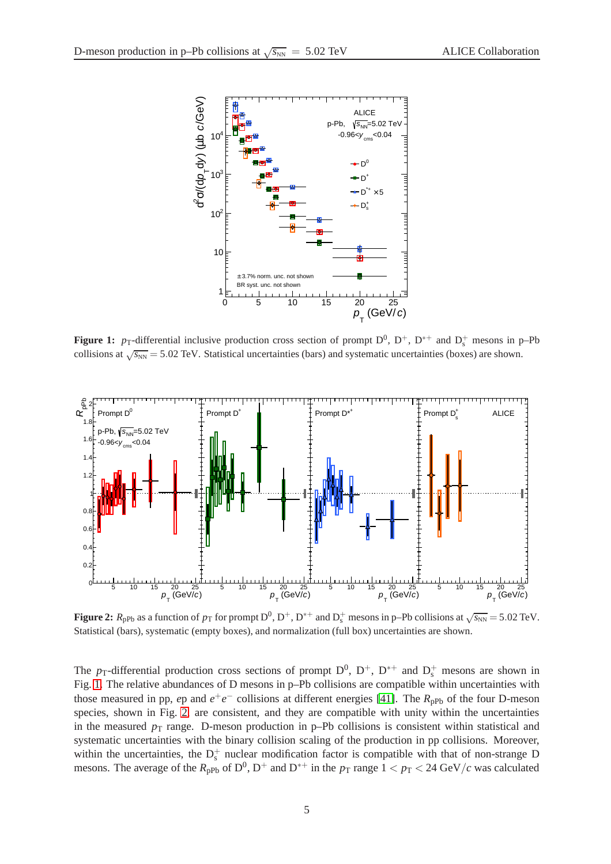

<span id="page-4-0"></span>**Figure 1:**  $p_T$ -differential inclusive production cross section of prompt  $D^0$ ,  $D^+$ ,  $D^{*+}$  and  $D_s^+$  mesons in p–Pb collisions at  $\sqrt{s_{NN}}$  = 5.02 TeV. Statistical uncertainties (bars) and systematic uncertainties (boxes) are shown.



<span id="page-4-1"></span>**Figure 2:**  $R_{\text{pPb}}$  as a function of  $p_{\text{T}}$  for prompt  $D^0$ ,  $D^+$ ,  $D^{*+}$  and  $D_s^+$  mesons in p–Pb collisions at  $\sqrt{s_{\text{NN}}}$  = 5.02 TeV. Statistical (bars), systematic (empty boxes), and normalization (full box) uncertainties are shown.

The  $p_T$ -differential production cross sections of prompt  $D^0$ ,  $D^+$ ,  $D^{*+}$  and  $D_s^+$  mesons are shown in Fig. [1.](#page-4-0) The relative abundances of D mesons in p–Pb collisions are compatible within uncertainties with those measured in pp, *e*p and  $e^+e^-$  collisions at different energies [\[41\]](#page-8-12). The  $R_{\text{pPb}}$  of the four D-meson species, shown in Fig. [2,](#page-4-1) are consistent, and they are compatible with unity within the uncertainties in the measured  $p_T$  range. D-meson production in p–Pb collisions is consistent within statistical and systematic uncertainties with the binary collision scaling of the production in pp collisions. Moreover, within the uncertainties, the  $D_s^+$  nuclear modification factor is compatible with that of non-strange D mesons. The average of the  $R_{\text{pPb}}$  of  $D^0$ ,  $D^+$  and  $D^{*+}$  in the  $p_T$  range  $1 < p_T < 24 \text{ GeV}/c$  was calculated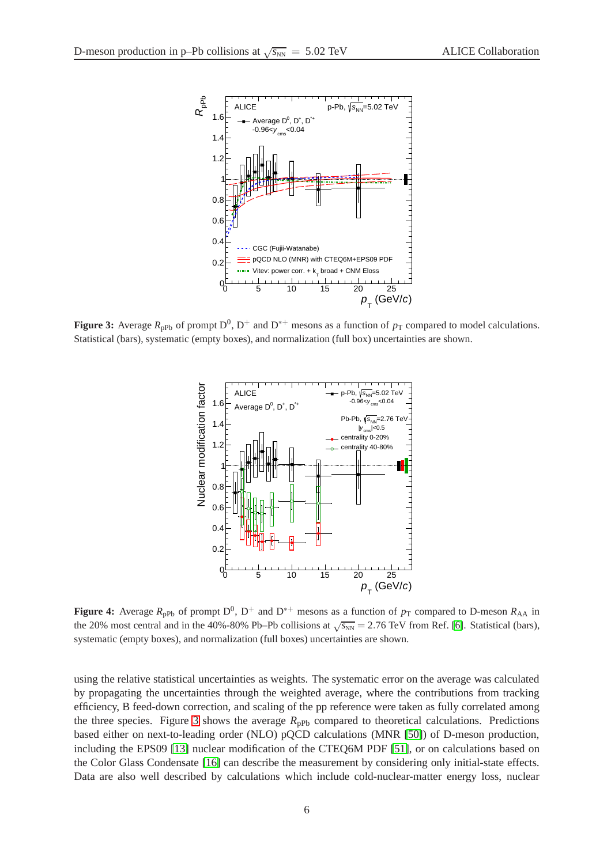

<span id="page-5-0"></span>**Figure 3:** Average  $R_{\text{pPb}}$  of prompt  $D^0$ ,  $D^+$  and  $D^{*+}$  mesons as a function of  $p_T$  compared to model calculations. Statistical (bars), systematic (empty boxes), and normalization (full box) uncertainties are shown.



<span id="page-5-1"></span>**Figure 4:** Average  $R_{pPb}$  of prompt  $D^0$ ,  $D^+$  and  $D^{*+}$  mesons as a function of  $p_T$  compared to D-meson  $R_{AA}$  in the 20% most central and in the 40%-80% Pb–Pb collisions at  $\sqrt{s_{NN}}$  = 2.76 TeV from Ref. [\[6\]](#page-7-4). Statistical (bars), systematic (empty boxes), and normalization (full boxes) uncertainties are shown.

using the relative statistical uncertainties as weights. The systematic error on the average was calculated by propagating the uncertainties through the weighted average, where the contributions from tracking efficiency, B feed-down correction, and scaling of the pp reference were taken as fully correlated among the three species. Figure [3](#page-5-0) shows the average  $R_{\text{pPb}}$  compared to theoretical calculations. Predictions based either on next-to-leading order (NLO) pQCD calculations (MNR [\[50\]](#page-8-22)) of D-meson production, including the EPS09 [\[13\]](#page-7-9) nuclear modification of the CTEQ6M PDF [\[51\]](#page-8-23), or on calculations based on the Color Glass Condensate [\[16\]](#page-7-11) can describe the measurement by considering only initial-state effects. Data are also well described by calculations which include cold-nuclear-matter energy loss, nuclear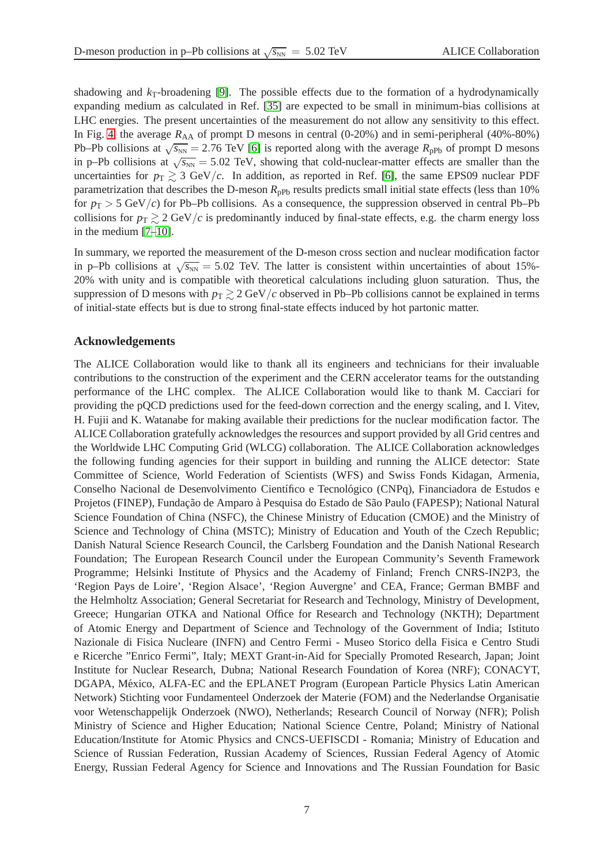shadowing and  $k_T$ -broadening [\[9\]](#page-7-19). The possible effects due to the formation of a hydrodynamically expanding medium as calculated in Ref. [\[35\]](#page-8-6) are expected to be small in minimum-bias collisions at LHC energies. The present uncertainties of the measurement do not allow any sensitivity to this effect. In Fig. [4,](#page-5-1) the average  $R_{AA}$  of prompt D mesons in central (0-20%) and in semi-peripheral (40%-80%) Pb–Pb collisions at  $\sqrt{s_{NN}}$  = 2.76 TeV [\[6\]](#page-7-4) is reported along with the average  $R_{\text{pPb}}$  of prompt D mesons in p–Pb collisions at  $\sqrt{s_{NN}}$  = 5.02 TeV, showing that cold-nuclear-matter effects are smaller than the uncertainties for  $p_T \geq 3$  GeV/*c*. In addition, as reported in Ref. [\[6\]](#page-7-4), the same EPS09 nuclear PDF parametrization that describes the D-meson  $R_{\text{pPb}}$  results predicts small initial state effects (less than 10%) for  $p_T > 5$  GeV/*c*) for Pb–Pb collisions. As a consequence, the suppression observed in central Pb–Pb collisions for  $p_T \gtrsim 2 \text{ GeV}/c$  is predominantly induced by final-state effects, e.g. the charm energy loss in the medium [\[7](#page-7-5)[–10\]](#page-7-6).

In summary, we reported the measurement of the D-meson cross section and nuclear modification factor in p–Pb collisions at  $\sqrt{s_{NN}} = 5.02$  TeV. The latter is consistent within uncertainties of about 15%-20% with unity and is compatible with theoretical calculations including gluon saturation. Thus, the suppression of D mesons with  $p_T \gtrsim 2 \text{ GeV}/c$  observed in Pb–Pb collisions cannot be explained in terms of initial-state effects but is due to strong final-state effects induced by hot partonic matter.

## **Acknowledgements**

The ALICE Collaboration would like to thank all its engineers and technicians for their invaluable contributions to the construction of the experiment and the CERN accelerator teams for the outstanding performance of the LHC complex. The ALICE Collaboration would like to thank M. Cacciari for providing the pQCD predictions used for the feed-down correction and the energy scaling, and I. Vitev, H. Fujii and K. Watanabe for making available their predictions for the nuclear modification factor. The ALICE Collaboration gratefully acknowledges the resources and support provided by all Grid centres and the Worldwide LHC Computing Grid (WLCG) collaboration. The ALICE Collaboration acknowledges the following funding agencies for their support in building and running the ALICE detector: State Committee of Science, World Federation of Scientists (WFS) and Swiss Fonds Kidagan, Armenia, Conselho Nacional de Desenvolvimento Científico e Tecnológico (CNPq), Financiadora de Estudos e Projetos (FINEP), Fundação de Amparo à Pesquisa do Estado de São Paulo (FAPESP); National Natural Science Foundation of China (NSFC), the Chinese Ministry of Education (CMOE) and the Ministry of Science and Technology of China (MSTC); Ministry of Education and Youth of the Czech Republic; Danish Natural Science Research Council, the Carlsberg Foundation and the Danish National Research Foundation; The European Research Council under the European Community's Seventh Framework Programme; Helsinki Institute of Physics and the Academy of Finland; French CNRS-IN2P3, the 'Region Pays de Loire', 'Region Alsace', 'Region Auvergne' and CEA, France; German BMBF and the Helmholtz Association; General Secretariat for Research and Technology, Ministry of Development, Greece; Hungarian OTKA and National Office for Research and Technology (NKTH); Department of Atomic Energy and Department of Science and Technology of the Government of India; Istituto Nazionale di Fisica Nucleare (INFN) and Centro Fermi - Museo Storico della Fisica e Centro Studi e Ricerche "Enrico Fermi", Italy; MEXT Grant-in-Aid for Specially Promoted Research, Japan; Joint Institute for Nuclear Research, Dubna; National Research Foundation of Korea (NRF); CONACYT, DGAPA, México, ALFA-EC and the EPLANET Program (European Particle Physics Latin American Network) Stichting voor Fundamenteel Onderzoek der Materie (FOM) and the Nederlandse Organisatie voor Wetenschappelijk Onderzoek (NWO), Netherlands; Research Council of Norway (NFR); Polish Ministry of Science and Higher Education; National Science Centre, Poland; Ministry of National Education/Institute for Atomic Physics and CNCS-UEFISCDI - Romania; Ministry of Education and Science of Russian Federation, Russian Academy of Sciences, Russian Federal Agency of Atomic Energy, Russian Federal Agency for Science and Innovations and The Russian Foundation for Basic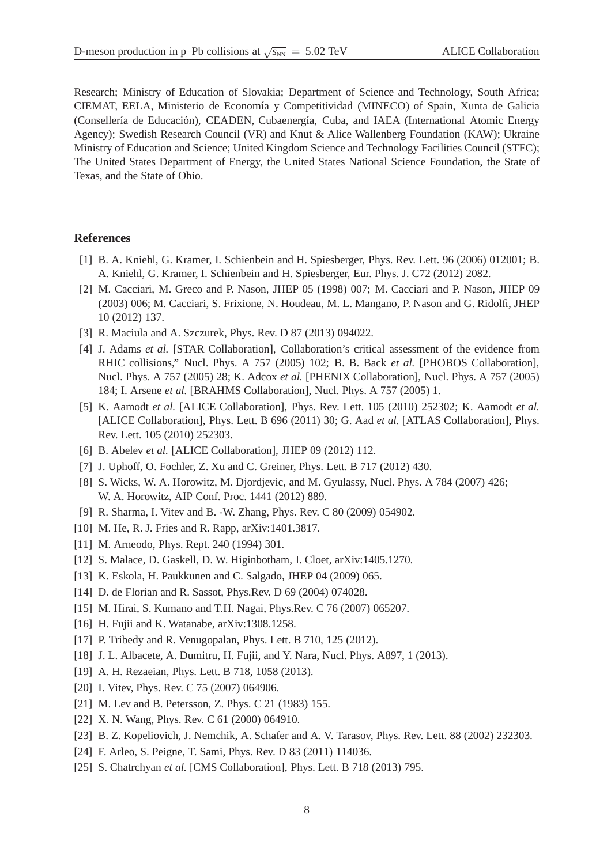Research; Ministry of Education of Slovakia; Department of Science and Technology, South Africa; CIEMAT, EELA, Ministerio de Economía y Competitividad (MINECO) of Spain, Xunta de Galicia (Consellería de Educación), CEADEN, Cubaenergía, Cuba, and IAEA (International Atomic Energy Agency); Swedish Research Council (VR) and Knut & Alice Wallenberg Foundation (KAW); Ukraine Ministry of Education and Science; United Kingdom Science and Technology Facilities Council (STFC); The United States Department of Energy, the United States National Science Foundation, the State of Texas, and the State of Ohio.

### <span id="page-7-0"></span>**References**

- [1] B. A. Kniehl, G. Kramer, I. Schienbein and H. Spiesberger, Phys. Rev. Lett. 96 (2006) 012001; B. A. Kniehl, G. Kramer, I. Schienbein and H. Spiesberger, Eur. Phys. J. C72 (2012) 2082.
- <span id="page-7-18"></span>[2] M. Cacciari, M. Greco and P. Nason, JHEP 05 (1998) 007; M. Cacciari and P. Nason, JHEP 09 (2003) 006; M. Cacciari, S. Frixione, N. Houdeau, M. L. Mangano, P. Nason and G. Ridolfi, JHEP 10 (2012) 137.
- <span id="page-7-2"></span><span id="page-7-1"></span>[3] R. Maciula and A. Szczurek, Phys. Rev. D 87 (2013) 094022.
- [4] J. Adams *et al.* [STAR Collaboration], Collaboration's critical assessment of the evidence from RHIC collisions," Nucl. Phys. A 757 (2005) 102; B. B. Back *et al.* [PHOBOS Collaboration], Nucl. Phys. A 757 (2005) 28; K. Adcox *et al.* [PHENIX Collaboration], Nucl. Phys. A 757 (2005) 184; I. Arsene *et al.* [BRAHMS Collaboration], Nucl. Phys. A 757 (2005) 1.
- <span id="page-7-3"></span>[5] K. Aamodt *et al.* [ALICE Collaboration], Phys. Rev. Lett. 105 (2010) 252302; K. Aamodt *et al.* [ALICE Collaboration], Phys. Lett. B 696 (2011) 30; G. Aad *et al.* [ATLAS Collaboration], Phys. Rev. Lett. 105 (2010) 252303.
- <span id="page-7-5"></span><span id="page-7-4"></span>[6] B. Abelev *et al.* [ALICE Collaboration], JHEP 09 (2012) 112.
- [7] J. Uphoff, O. Fochler, Z. Xu and C. Greiner, Phys. Lett. B 717 (2012) 430.
- [8] S. Wicks, W. A. Horowitz, M. Djordjevic, and M. Gyulassy, Nucl. Phys. A 784 (2007) 426; W. A. Horowitz, AIP Conf. Proc. 1441 (2012) 889.
- <span id="page-7-19"></span><span id="page-7-6"></span>[9] R. Sharma, I. Vitev and B. -W. Zhang, Phys. Rev. C 80 (2009) 054902.
- <span id="page-7-7"></span>[10] M. He, R. J. Fries and R. Rapp, arXiv:1401.3817.
- <span id="page-7-8"></span>[11] M. Arneodo, Phys. Rept. 240 (1994) 301.
- <span id="page-7-9"></span>[12] S. Malace, D. Gaskell, D. W. Higinbotham, I. Cloet, arXiv:1405.1270.
- [13] K. Eskola, H. Paukkunen and C. Salgado, JHEP 04 (2009) 065.
- <span id="page-7-10"></span>[14] D. de Florian and R. Sassot, Phys.Rev. D 69 (2004) 074028.
- <span id="page-7-11"></span>[15] M. Hirai, S. Kumano and T.H. Nagai, Phys.Rev. C 76 (2007) 065207.
- [16] H. Fujii and K. Watanabe, arXiv:1308.1258.
- [17] P. Tribedy and R. Venugopalan, Phys. Lett. B 710, 125 (2012).
- <span id="page-7-12"></span>[18] J. L. Albacete, A. Dumitru, H. Fujii, and Y. Nara, Nucl. Phys. A897, 1 (2013).
- <span id="page-7-13"></span>[19] A. H. Rezaeian, Phys. Lett. B 718, 1058 (2013).
- <span id="page-7-14"></span>[20] I. Vitev, Phys. Rev. C 75 (2007) 064906.
- [21] M. Lev and B. Petersson, Z. Phys. C 21 (1983) 155.
- <span id="page-7-15"></span>[22] X. N. Wang, Phys. Rev. C 61 (2000) 064910.
- <span id="page-7-16"></span>[23] B. Z. Kopeliovich, J. Nemchik, A. Schafer and A. V. Tarasov, Phys. Rev. Lett. 88 (2002) 232303.
- <span id="page-7-17"></span>[24] F. Arleo, S. Peigne, T. Sami, Phys. Rev. D 83 (2011) 114036.
- [25] S. Chatrchyan *et al.* [CMS Collaboration], Phys. Lett. B 718 (2013) 795.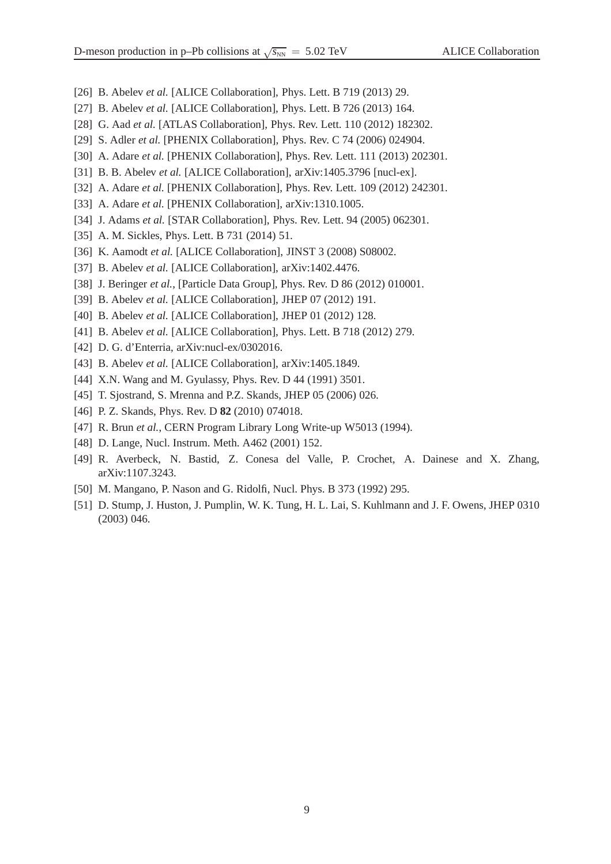- [26] B. Abelev *et al.* [ALICE Collaboration], Phys. Lett. B 719 (2013) 29.
- <span id="page-8-0"></span>[27] B. Abelev *et al.* [ALICE Collaboration], Phys. Lett. B 726 (2013) 164.
- <span id="page-8-1"></span>[28] G. Aad *et al.* [ATLAS Collaboration], Phys. Rev. Lett. 110 (2012) 182302.
- <span id="page-8-2"></span>[29] S. Adler *et al.* [PHENIX Collaboration], Phys. Rev. C 74 (2006) 024904.
- <span id="page-8-3"></span>[30] A. Adare *et al.* [PHENIX Collaboration], Phys. Rev. Lett. 111 (2013) 202301.
- <span id="page-8-4"></span>[31] B. B. Abelev *et al.* [ALICE Collaboration], arXiv:1405.3796 [nucl-ex].
- <span id="page-8-7"></span>[32] A. Adare *et al.* [PHENIX Collaboration], Phys. Rev. Lett. 109 (2012) 242301.
- <span id="page-8-5"></span>[33] A. Adare *et al.* [PHENIX Collaboration], arXiv:1310.1005.
- <span id="page-8-6"></span>[34] J. Adams *et al.* [STAR Collaboration], Phys. Rev. Lett. 94 (2005) 062301.
- <span id="page-8-8"></span>[35] A. M. Sickles, Phys. Lett. B 731 (2014) 51.
- <span id="page-8-9"></span>[36] K. Aamodt *et al.* [ALICE Collaboration], JINST 3 (2008) S08002.
- <span id="page-8-10"></span>[37] B. Abelev *et al.* [ALICE Collaboration], arXiv:1402.4476.
- <span id="page-8-11"></span>[38] J. Beringer *et al.*, [Particle Data Group], Phys. Rev. D 86 (2012) 010001.
- <span id="page-8-20"></span>[39] B. Abelev *et al.* [ALICE Collaboration], JHEP 07 (2012) 191.
- <span id="page-8-12"></span>[40] B. Abelev *et al.* [ALICE Collaboration], JHEP 01 (2012) 128.
- <span id="page-8-13"></span>[41] B. Abelev *et al.* [ALICE Collaboration], Phys. Lett. B 718 (2012) 279.
- <span id="page-8-14"></span>[42] D. G. d'Enterria, arXiv:nucl-ex/0302016.
- <span id="page-8-15"></span>[43] B. Abelev *et al.* [ALICE Collaboration], arXiv:1405.1849.
- <span id="page-8-16"></span>[44] X.N. Wang and M. Gyulassy, Phys. Rev. D 44 (1991) 3501.
- <span id="page-8-17"></span>[45] T. Sjostrand, S. Mrenna and P.Z. Skands, JHEP 05 (2006) 026.
- <span id="page-8-18"></span>[46] P. Z. Skands, Phys. Rev. D **82** (2010) 074018.
- <span id="page-8-19"></span>[47] R. Brun *et al.*, CERN Program Library Long Write-up W5013 (1994).
- <span id="page-8-21"></span>[48] D. Lange, Nucl. Instrum. Meth. A462 (2001) 152.
- [49] R. Averbeck, N. Bastid, Z. Conesa del Valle, P. Crochet, A. Dainese and X. Zhang, arXiv:1107.3243.
- <span id="page-8-23"></span><span id="page-8-22"></span>[50] M. Mangano, P. Nason and G. Ridolfi, Nucl. Phys. B 373 (1992) 295.
- [51] D. Stump, J. Huston, J. Pumplin, W. K. Tung, H. L. Lai, S. Kuhlmann and J. F. Owens, JHEP 0310 (2003) 046.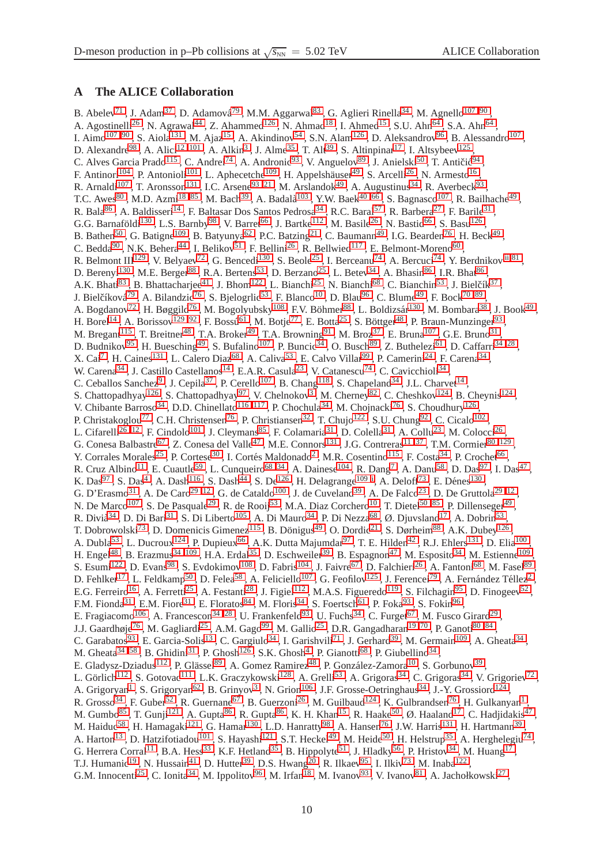## <span id="page-9-0"></span>**A The ALICE Collaboration**

B. Abelev<sup>[71](#page-13-0)</sup>, J. Adam<sup>[37](#page-12-0)</sup>, D. Adamová<sup>[79](#page-13-1)</sup>, M.M. Aggarwal<sup>[83](#page-13-2)</sup>, G. Aglieri Rinella<sup>[34](#page-12-1)</sup>, M. Agnello<sup>[107](#page-13-3),90</sup>, A. Agostinelli<sup>[26](#page-12-2)</sup>, N. Agrawal<sup>[44](#page-12-3)</sup>, Z. Ahammed<sup>[126](#page-14-0)</sup>, N. Ahmad<sup>[18](#page-12-4)</sup>, I. Ahmed<sup>[15](#page-12-5)</sup>, S.U. Ahn<sup>[64](#page-13-5)</sup>, S.A. Ahn<sup>64</sup>, I. Aimo<sup>107, [90](#page-13-4)</sup>, S. Aiola<sup>[131](#page-14-1)</sup>, M. Ajaz<sup>[15](#page-12-5)</sup>, A. Akindinov<sup>[54](#page-12-6)</sup>, S.N. Alam<sup>[126](#page-14-0)</sup>, D. Aleksandrov<sup>[96](#page-13-6)</sup>, B. Alessandro<sup>[107](#page-13-3)</sup>, D. Alexandre<sup>[98](#page-13-7)</sup>, A. Alici<sup>12,[101](#page-13-8)</sup>, A. Alkin<sup>[3](#page-11-0)</sup>, J. Alme<sup>[35](#page-12-8)</sup>, T. Alt<sup>[39](#page-12-9)</sup>, S. Altinpinar<sup>[17](#page-12-10)</sup>, I. Altsybeev<sup>[125](#page-14-2)</sup>, C. Alves Garcia Prado<sup>[115](#page-14-3)</sup>, C. Andrei<sup>[74](#page-13-9)</sup>, A. Andronic<sup>[93](#page-13-10)</sup>, V. Anguelov<sup>[89](#page-13-11)</sup>, J. Anielski<sup>[50](#page-12-11)</sup>, T. Antičić<sup>[94](#page-13-12)</sup>, F. Antinori<sup>[104](#page-13-13)</sup>, P. Antonioli<sup>[101](#page-13-8)</sup>, L. Aphecetche<sup>[109](#page-13-14)</sup>, H. Appelshäuser<sup>[49](#page-12-12)</sup>, S. Arcelli<sup>[26](#page-12-2)</sup>, N. Armesto<sup>[16](#page-12-13)</sup>, R. Arnaldi<sup>[107](#page-13-3)</sup>, T. Aronsson<sup>[131](#page-14-1)</sup>, I.C. Arsene<sup>[93](#page-13-10),21</sup>, M. Arslandok<sup>[49](#page-12-12)</sup>, A. Augustinus<sup>[34](#page-12-1)</sup>, R. Averbeck<sup>93</sup>, T.C. Awes<sup>[80](#page-13-15)</sup>, M.D. Azmi<sup>18,[85](#page-13-16)</sup>, M. Bach<sup>[39](#page-12-9)</sup>, A. Badalà<sup>[103](#page-13-17)</sup>, Y.W. Baek<sup>[40](#page-12-15),66</sup>, S. Bagnasco<sup>[107](#page-13-3)</sup>, R. Bailhache<sup>[49](#page-12-12)</sup>, , R. Bala $^{86}$  $^{86}$  $^{86}$ , A. Baldisseri $^{14}$  $^{14}$  $^{14}$ , F. Baltasar Dos Santos Pedrosa $^{34}$  $^{34}$  $^{34}$ , R.C. Baral<sup>[57](#page-12-17)</sup>, R. Barbera<sup>[27](#page-12-18)</sup>, F. Barile<sup>[31](#page-12-19)</sup>, G.G. Barnaföldi<sup>[130](#page-14-4)</sup>, L.S. Barnby<sup>[98](#page-13-7)</sup>, V. Barret<sup>[66](#page-13-18)</sup>, J. Bartke<sup>[112](#page-13-20)</sup>, M. Basile<sup>[26](#page-12-2)</sup>, N. Bastid<sup>66</sup>, S. Basu<sup>[126](#page-14-0)</sup>, B. Bathen<sup>[50](#page-12-11)</sup>, G. Batigne<sup>[109](#page-13-14)</sup>, B. Batyunya<sup>[62](#page-13-21)</sup>, P.C. Batzing<sup>[21](#page-12-14)</sup>, C. Baumann<sup>[49](#page-12-12)</sup>, I.G. Bearden<sup>[76](#page-13-22)</sup>, H. Beck<sup>49</sup>, C. Bedda<sup>[90](#page-13-4)</sup>, N.K. Behera<sup>[44](#page-12-3)</sup>, I. Belikov<sup>[51](#page-12-20)</sup>, F. Bellini<sup>[26](#page-12-2)</sup>, R. Bellwied<sup>[117](#page-14-5)</sup>, E. Belmont-Moreno<sup>[60](#page-12-21)</sup>, R. Belmont III<sup>[129](#page-14-6)</sup>, V. Belyaev<sup>[72](#page-13-23)</sup>, G. Bencedi<sup>[130](#page-14-4)</sup>, S. Beole<sup>[25](#page-12-22)</sup>, I. Berceanu<sup>[74](#page-13-9)</sup>, A. Bercuci<sup>74</sup>, Y. Berdnikov<sup>[,ii](#page-11-1)[,81](#page-13-24)</sup>, D. Berenyi<sup>[130](#page-14-4)</sup>, M.E. Berger<sup>[88](#page-13-25)</sup>, R.A. Bertens<sup>[53](#page-12-23)</sup>, D. Berzano<sup>[25](#page-12-22)</sup>, L. Betev<sup>[34](#page-12-1)</sup>, A. Bhasin<sup>[86](#page-13-19)</sup>, I.R. Bhat<sup>86</sup>, A.K. Bhati<sup>[83](#page-13-2)</sup>, B. Bhattacharjee<sup>[41](#page-12-24)</sup>, J. Bhom<sup>[122](#page-14-7)</sup>, L. Bianchi<sup>[25](#page-12-22)</sup>, N. Bianchi<sup>[68](#page-13-26)</sup>, C. Bianchin<sup>[53](#page-12-23)</sup>, J. Bielčík<sup>[37](#page-12-0)</sup>, J. Bielčíková<sup>[79](#page-13-1)</sup>, A. Bilandzic<sup>[76](#page-13-22)</sup>, S. Bjelogrlic<sup>[53](#page-12-23)</sup>, F. Blanco<sup>[10](#page-12-25)</sup>, D. Blau<sup>[96](#page-13-6)</sup>, C. Blume<sup>[49](#page-12-12)</sup>, F. Bock<sup>70,[89](#page-13-11)</sup>, A. Bogdanov<sup>[72](#page-13-23)</sup> , H. Bøggild<sup>[76](#page-13-22)</sup> , M. Bogolyubsky<sup>[108](#page-13-28)</sup> , F.V. Böhmer<sup>[88](#page-13-25)</sup> , L. Boldizsár<sup>[130](#page-14-4)</sup> , M. Bombara<sup>[38](#page-12-26)</sup> , J. Book<sup>[49](#page-12-12)</sup> , H. Borel<sup>[14](#page-12-16)</sup>, A. Borissov<sup>[129](#page-14-6),92</sup>, F. Bossú<sup>[61](#page-13-30)</sup>, M. Botje<sup>[77](#page-13-31)</sup>, E. Botta<sup>[25](#page-12-22)</sup>, S. Böttger<sup>[48](#page-12-27)</sup>, P. Braun-Munzinger<sup>[93](#page-13-10)</sup>, M. Bregant<sup>[115](#page-14-3)</sup>, T. Breitner<sup>[48](#page-12-27)</sup>, T.A. Broker<sup>[49](#page-12-12)</sup>, T.A. Browning<sup>[91](#page-13-32)</sup>, M. Broz<sup>[37](#page-12-0)</sup>, E. Bruna<sup>[107](#page-13-3)</sup>, G.E. Bruno<sup>[31](#page-12-19)</sup>, D. Budnikov<sup>[95](#page-13-33)</sup>, H. Buesching<sup>[49](#page-12-12)</sup>, S. Bufalino<sup>[107](#page-13-3)</sup>, P. Buncic<sup>[34](#page-12-1)</sup>, O. Busch<sup>[89](#page-13-11)</sup>, Z. Buthelezi<sup>[61](#page-13-30)</sup>, D. Caffarri<sup>34, 28</sup>, X. Cai<sup>[7](#page-11-2)</sup>, H. Caines<sup>[131](#page-14-1)</sup>, L. Calero Diaz<sup>[68](#page-13-26)</sup>, A. Caliva<sup>[53](#page-12-23)</sup>, E. Calvo Villar<sup>[99](#page-13-34)</sup>, P. Camerini<sup>[24](#page-12-29)</sup>, F. Carena<sup>[34](#page-12-1)</sup>, W. Carena<sup>[34](#page-12-1)</sup>, J. Castillo Castellanos<sup>[14](#page-12-16)</sup>, E.A.R. Casula<sup>[23](#page-12-30)</sup>, V. Catanescu<sup>[74](#page-13-9)</sup>, C. Cavicchioli<sup>34</sup>, C. Ceballos Sanchez<sup>[9](#page-12-31)</sup>, J. Cepila<sup>[37](#page-12-0)</sup>, P. Cerello<sup>[107](#page-13-3)</sup>, B. Chang<sup>[118](#page-14-8)</sup>, S. Chapeland<sup>[34](#page-12-1)</sup>, J.L. Charvet<sup>[14](#page-12-16)</sup>, S. Chattopadhyay<sup>[126](#page-14-0)</sup>, S. Chattopadhyay<sup>[97](#page-13-35)</sup>, V. Chelnokov<sup>[3](#page-11-0)</sup>, M. Cherney<sup>[82](#page-13-36)</sup>, C. Cheshkov<sup>[124](#page-14-9)</sup>, B. Cheynis<sup>124</sup>, V. Chibante Barroso<sup>[34](#page-12-1)</sup>, D.D. Chinellato<sup>116,[117](#page-14-5)</sup>, P. Chochula<sup>34</sup>, M. Chojnacki<sup>[76](#page-13-22)</sup>, S. Choudhury<sup>[126](#page-14-0)</sup>, P. Christakoglou<sup>[77](#page-13-31)</sup>, C.H. Christensen<sup>[76](#page-13-22)</sup>, P. Christiansen<sup>[32](#page-12-32)</sup>, T. Chujo<sup>[122](#page-14-7)</sup>, S.U. Chung<sup>[92](#page-13-29)</sup>, C. Cicalo<sup>[102](#page-13-37)</sup>, L. Cifarelli<sup>[26](#page-12-2),12</sup>, F. Cindolo<sup>[101](#page-13-8)</sup>, J. Cleymans<sup>[85](#page-13-16)</sup>, F. Colamaria<sup>[31](#page-12-19)</sup>, D. Colella<sup>31</sup>, A. Collu<sup>[23](#page-12-30)</sup>, M. Colocci<sup>26</sup>, G. Conesa Balbastre<sup>[67](#page-13-38)</sup>, Z. Conesa del Valle<sup>[47](#page-12-33)</sup>, M.E. Connors<sup>[131](#page-14-1)</sup>, J.G. Contreras<sup>[11](#page-12-34),37</sup>, T.M. Cormier<sup>80,[129](#page-14-6)</sup>, Y. Corrales Morales<sup>[25](#page-12-22)</sup>, P. Cortese<sup>[30](#page-12-35)</sup>, I. Cortés Maldonado<sup>[2](#page-11-3)</sup>, M.R. Cosentino<sup>[115](#page-14-3)</sup>, F. Costa<sup>[34](#page-12-1)</sup>, P. Crochet<sup>[66](#page-13-18)</sup>, R. Cruz Albino<sup>[11](#page-12-34)</sup>, E. Cuautle<sup>[59](#page-12-36)</sup>, L. Cunqueiro<sup>68,[34](#page-12-1)</sup>, A. Dainese<sup>[104](#page-13-13)</sup>, R. Dang<sup>[7](#page-11-2)</sup>, A. Danu<sup>[58](#page-12-37)</sup>, D. Das<sup>[97](#page-13-35)</sup>, I. Das<sup>[47](#page-12-33)</sup>, K. Das<sup>[97](#page-13-35)</sup>, S. Das<sup>[4](#page-11-4)</sup>, A. Dash<sup>[116](#page-14-10)</sup>, S. Dash<sup>[44](#page-12-3)</sup>, S. De<sup>[126](#page-14-0)</sup>, H. Delagrange<sup>[109](#page-13-14),i</sup>, A. Deloff<sup>[73](#page-13-39)</sup>, E. Dénes<sup>[130](#page-14-4)</sup>, G. D'Erasmo<sup>[31](#page-12-19)</sup>, A. De Caro<sup>29,[12](#page-12-7)</sup>, G. de Cataldo<sup>[100](#page-13-40)</sup>, J. de Cuveland<sup>[39](#page-12-9)</sup>, A. De Falco<sup>[23](#page-12-30)</sup>, D. De Gruttola<sup>29,12</sup>, N. De Marco<sup>[107](#page-13-3)</sup> , S. De Pasquale<sup>[29](#page-12-38)</sup> , R. de Rooij<sup>[53](#page-12-23)</sup> , M.A. Diaz Corchero<sup>[10](#page-12-25)</sup> , T. Dietel<sup>[50 ,](#page-12-11)[85](#page-13-16)</sup> , P. Dillenseger<sup>[49](#page-12-12)</sup> , R. Divià $^{34}$  $^{34}$  $^{34}$  , D. Di Bari $^{31}$  $^{31}$  $^{31}$  , S. Di Liberto $^{105}$  $^{105}$  $^{105}$  , A. Di Mauro $^{34}$  , P. Di Nezza $^{68}$  $^{68}$  $^{68}$  , Ø. Djuvsland $^{17}$  $^{17}$  $^{17}$  , A. Dobrin $^{53}$  $^{53}$  $^{53}$  , T. Dobrowolski<sup>[73](#page-13-39)</sup>, D. Domenicis Gimenez<sup>[115](#page-14-3)</sup>, B. Dönigus<sup>[49](#page-12-12)</sup>, O. Dordic<sup>[21](#page-12-14)</sup>, S. Dørheim<sup>[88](#page-13-25)</sup>, A.K. Dubey<sup>[126](#page-14-0)</sup>, A. Dubla<sup>[53](#page-12-23)</sup>, L. Ducroux<sup>[124](#page-14-9)</sup>, P. Dupieux<sup>[66](#page-13-18)</sup>, A.K. Dutta Majumdar<sup>[97](#page-13-35)</sup>, T. E. Hilden<sup>[42](#page-12-39)</sup>, R.J. Ehlers<sup>[131](#page-14-1)</sup>, D. Elia<sup>[100](#page-13-40)</sup>, H. Engel<sup>[48](#page-12-27)</sup>, B. Erazmus<sup>34,[109](#page-13-14)</sup>, H.A. Erdal<sup>[35](#page-12-8)</sup>, D. Eschweiler<sup>[39](#page-12-9)</sup>, B. Espagnon<sup>[47](#page-12-33)</sup>, M. Esposito<sup>[34](#page-12-1)</sup>, M. Estienne<sup>109</sup>. , S. Esumi<sup>[122](#page-14-7)</sup>, D. Evans<sup>[98](#page-13-7)</sup>, S. Evdokimov<sup>[108](#page-13-28)</sup>, D. Fabris<sup>[104](#page-13-13)</sup>, J. Faivre<sup>[67](#page-13-38)</sup>, D. Falchieri<sup>[26](#page-12-2)</sup>, A. Fantoni<sup>[68](#page-13-26)</sup>, M. Fasel<sup>[89](#page-13-11)</sup>, D. Fehlker<sup>[17](#page-12-10)</sup> , L. Feldkamp<sup>[50](#page-12-11)</sup> , D. Felea<sup>[58](#page-12-37)</sup> , A. Feliciello<sup>[107](#page-13-3)</sup> , G. Feofilov<sup>[125](#page-14-2)</sup> , J. Ferencei<sup>[79](#page-13-1)</sup> , A. Fernández Téllez<sup>[2](#page-11-3)</sup> , E.G. Ferreiro<sup>[16](#page-12-13)</sup>, A. Ferretti<sup>[25](#page-12-22)</sup>, A. Festanti<sup>[28](#page-12-28)</sup>, J. Figiel<sup>[112](#page-13-20)</sup>, M.A.S. Figueredo<sup>[119](#page-14-11)</sup>, S. Filchagin<sup>[95](#page-13-33)</sup>, D. Finogeev<sup>[52](#page-12-40)</sup>, F.M. Fionda<sup>[31](#page-12-19)</sup>, E.M. Fiore<sup>31</sup>, E. Floratos<sup>[84](#page-13-42)</sup>, M. Floris<sup>[34](#page-12-1)</sup>, S. Foertsch<sup>[61](#page-13-30)</sup>, P. Foka<sup>[93](#page-13-10)</sup>, S. Fokin<sup>[96](#page-13-6)</sup>, E. Fragiacomo<sup>[106](#page-13-43)</sup> , A. Francescon<sup>[34 ,](#page-12-1)[28](#page-12-28)</sup> , U. Frankenfeld<sup>[93](#page-13-10)</sup> , U. Fuchs<sup>[34](#page-12-1)</sup> , C. Furget<sup>[67](#page-13-38)</sup> , M. Fusco Girard<sup>[29](#page-12-38)</sup> , J.J. Gaardhøje<sup>[76](#page-13-22)</sup> , M. Gagliardi<sup>[25](#page-12-22)</sup> , A.M. Gago<sup>[99](#page-13-34)</sup> , M. Gallio<sup>25</sup> , D.R. Gangadharan<sup>[19](#page-12-41) [,70](#page-13-27)</sup> , P. Ganoti<sup>[80 ,](#page-13-15)[84](#page-13-42)</sup> , C. Garabatos<sup>[93](#page-13-10)</sup>, E. Garcia-Solis<sup>[13](#page-12-42)</sup>, C. Gargiulo<sup>[34](#page-12-1)</sup>, I. Garishvili<sup>[71](#page-13-0)</sup>, J. Gerhard<sup>[39](#page-12-9)</sup>, M. Germain<sup>[109](#page-13-14)</sup>, A. Gheata<sup>34</sup>, M. Gheata<sup>[34](#page-12-1),58</sup>, B. Ghidini<sup>[31](#page-12-19)</sup>, P. Ghosh<sup>[126](#page-14-0)</sup>, S.K. Ghosh<sup>[4](#page-11-4)</sup>, P. Gianotti<sup>[68](#page-13-26)</sup>, P. Giubellino<sup>34</sup>, E. Gladysz-Dziadus<sup>[112](#page-13-20)</sup>, P. Glässel<sup>[89](#page-13-11)</sup>, A. Gomez Ramirez<sup>[48](#page-12-27)</sup>, P. González-Zamora<sup>[10](#page-12-25)</sup>, S. Gorbunov<sup>[39](#page-12-9)</sup>, L. Görlich<sup>[112](#page-13-20)</sup>, S. Gotovac<sup>[111](#page-13-44)</sup>, L.K. Graczykowski<sup>[128](#page-14-12)</sup>, A. Grelli<sup>[53](#page-12-23)</sup>, A. Grigoras<sup>[34](#page-12-1)</sup>, C. Grigoras<sup>34</sup>, V. Grigoriev<sup>[72](#page-13-23)</sup>, A. Grigoryan<sup>[1](#page-11-6)</sup>, S. Grigoryan<sup>[62](#page-13-21)</sup>, B. Grinyov<sup>[3](#page-11-0)</sup>, N. Grion<sup>[106](#page-13-43)</sup>, J.F. Grosse-Oetringhaus<sup>[34](#page-12-1)</sup>, J.-Y. Grossiord<sup>[124](#page-14-9)</sup>, R. Grosso<sup>[34](#page-12-1)</sup>, F. Guber<sup>[52](#page-12-40)</sup>, R. Guernane<sup>[67](#page-13-38)</sup>, B. Guerzoni<sup>[26](#page-12-2)</sup>, M. Guilbaud<sup>[124](#page-14-9)</sup>, K. Gulbrandsen<sup>[76](#page-13-22)</sup>, H. Gulkanyan<sup>[1](#page-11-6)</sup>, M. Gumbo<sup>[85](#page-13-16)</sup>, T. Gunji<sup>[121](#page-14-13)</sup>, A. Gupta<sup>[86](#page-13-19)</sup>, R. Gupta<sup>86</sup>, K. H. Khan<sup>[15](#page-12-5)</sup>, R. Haake<sup>[50](#page-12-11)</sup>, Ø. Haaland<sup>[17](#page-12-10)</sup>, C. Hadjidakis<sup>[47](#page-12-33)</sup>, M. Haiduc<sup>[58](#page-12-37)</sup>, H. Hamagaki<sup>[121](#page-14-13)</sup>, G. Hamar<sup>[130](#page-14-4)</sup>, L.D. Hanratty<sup>[98](#page-13-7)</sup>, A. Hansen<sup>[76](#page-13-22)</sup>, J.W. Harris<sup>[131](#page-14-1)</sup>, H. Hartmann<sup>[39](#page-12-9)</sup>, A. Harton<sup>[13](#page-12-42)</sup>, D. Hatzifotiadou<sup>[101](#page-13-8)</sup>, S. Hayashi<sup>[121](#page-14-13)</sup>, S.T. Heckel<sup>[49](#page-12-12)</sup>, M. Heide<sup>[50](#page-12-11)</sup>, H. Helstrup<sup>[35](#page-12-8)</sup>, A. Herghelegiu<sup>[74](#page-13-9)</sup>, G. Herrera Corral<sup>[11](#page-12-34)</sup>, B.A. Hess<sup>[33](#page-12-43)</sup>, K.F. Hetland<sup>[35](#page-12-8)</sup>, B. Hippolyte<sup>[51](#page-12-20)</sup>, J. Hladky<sup>[56](#page-12-44)</sup>, P. Hristov<sup>[34](#page-12-1)</sup>, M. Huang<sup>[17](#page-12-10)</sup>, T.J. Humanic<sup>[19](#page-12-41)</sup>, N. Hussain<sup>[41](#page-12-24)</sup>, D. Hutter<sup>[39](#page-12-9)</sup>, D.S. Hwang<sup>[20](#page-12-45)</sup>, R. Ilkaev<sup>[95](#page-13-33)</sup>, I. Ilkiv<sup>[73](#page-13-39)</sup>, M. Inaba<sup>[122](#page-14-7)</sup>, G.M. Innocenti<sup>[25](#page-12-22)</sup>, C. Ionita<sup>[34](#page-12-1)</sup>, M. Ippolitov<sup>[96](#page-13-6)</sup>, M. Irfan<sup>[18](#page-12-4)</sup>, M. Ivanov<sup>[93](#page-13-10)</sup>, V. Ivanov<sup>[81](#page-13-24)</sup>, A. Jachołkowski<sup>[27](#page-12-18)</sup>,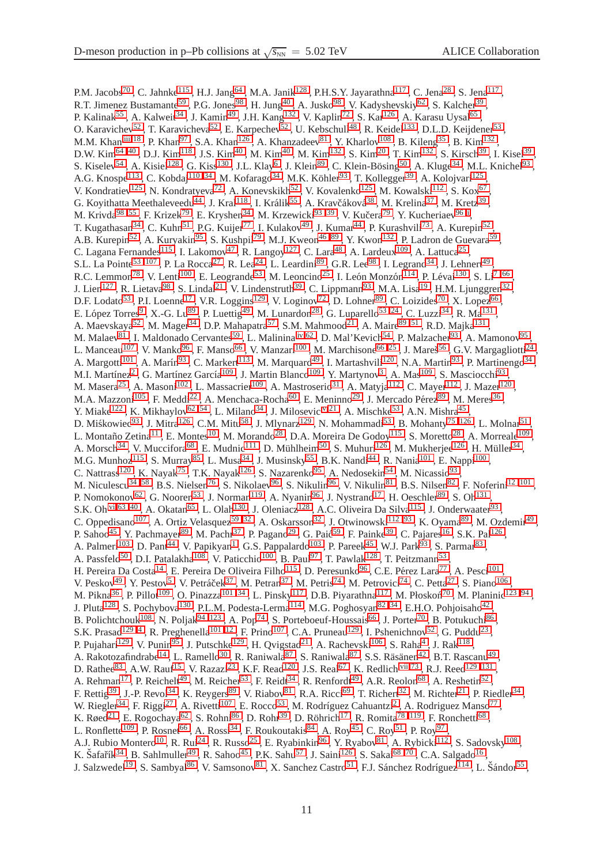P.M. Jacobs<sup>[70](#page-13-27)</sup>, C. Jahnke<sup>[115](#page-14-3)</sup>, H.J. Jang<sup>[64](#page-13-5)</sup>, M.A. Janik<sup>[128](#page-14-12)</sup>, P.H.S.Y. Jayarathna<sup>[117](#page-14-5)</sup>, C. Jena<sup>[28](#page-12-28)</sup>, S. Jena<sup>117</sup>, R.T. Jimenez Bustamante<sup>[59](#page-12-36)</sup>, P.G. Jones<sup>[98](#page-13-7)</sup>, H. Jung<sup>[40](#page-12-15)</sup>, A. Jusko<sup>98</sup>, V. Kadyshevskiy<sup>[62](#page-13-21)</sup>, S. Kalcher<sup>[39](#page-12-9)</sup>, P. Kalinak<sup>[55](#page-12-46)</sup>, A. Kalweit<sup>[34](#page-12-1)</sup>, J. Kamin<sup>[49](#page-12-12)</sup>, J.H. Kang<sup>[132](#page-14-14)</sup>, V. Kaplin<sup>[72](#page-13-23)</sup>, S. Kar<sup>[126](#page-14-0)</sup>, A. Karasu Uysal<sup>[65](#page-13-45)</sup>, O. Karavichev<sup>[52](#page-12-40)</sup>, T. Karavicheva<sup>52</sup>, E. Karpechev<sup>52</sup>, U. Kebschull<sup>[48](#page-12-27)</sup>, R. Keidel<sup>[133](#page-14-15)</sup>, D.L.D. Keijdener<sup>[53](#page-12-23)</sup>, M.M. Khan<sup>[,iii,](#page-11-7) [18](#page-12-4)</sup>, P. Khan<sup>[97](#page-13-35)</sup>, S.A. Khan<sup>[126](#page-14-0)</sup>, A. Khanzadeev<sup>[81](#page-13-24)</sup>, Y. Kharlov<sup>[108](#page-13-28)</sup>, B. Kileng<sup>[35](#page-12-8)</sup>, B. Kim<sup>[132](#page-14-14)</sup>, D.W. Kim<sup>[64](#page-13-5) [,40](#page-12-15)</sup> , D.J. Kim<sup>[118](#page-14-8)</sup> , J.S. Kim<sup>[40](#page-12-15)</sup> , M. Kim<sup>40</sup> , M. Kim<sup>[132](#page-14-14)</sup> , S. Kim<sup>[20](#page-12-45)</sup> , T. Kim<sup>132</sup> , S. Kirsch<sup>[39](#page-12-9)</sup> , I. Kisel<sup>39</sup> , S. Kiselev<sup>[54](#page-12-6)</sup>, A. Kisiel<sup>[128](#page-14-12)</sup>, G. Kiss<sup>[130](#page-14-4)</sup>, J.L. Klay<sup>[6](#page-11-8)</sup>, J. Klein<sup>[89](#page-13-11)</sup>, C. Klein-Bösing<sup>[50](#page-12-11)</sup>, A. Kluge<sup>[34](#page-12-1)</sup>, M.L. Knichel<sup>[93](#page-13-10)</sup>, A.G. Knospe<sup>[113](#page-13-46)</sup>, C. Kobdaj<sup>[110](#page-13-47),[34](#page-12-1)</sup>, M. Kofarago<sup>34</sup>, M.K. Köhler<sup>[93](#page-13-10)</sup>, T. Kollegger<sup>[39](#page-12-9)</sup>, A. Kolojvari<sup>[125](#page-14-2)</sup>, V. Kondratiev<sup>[125](#page-14-2)</sup>, N. Kondratyeva<sup>[72](#page-13-23)</sup>, A. Konevskikh<sup>[52](#page-12-40)</sup>, V. Kovalenko<sup>125</sup>, M. Kowalski<sup>[112](#page-13-20)</sup>, S. Kox<sup>[67](#page-13-38)</sup>, G. Koyithatta Meethaleveedu<sup>[44](#page-12-3)</sup>, J. Kral<sup>[118](#page-14-8)</sup>, I. Králik<sup>[55](#page-12-46)</sup>, A. Kravčáková<sup>[38](#page-12-26)</sup>, M. Krelina<sup>[37](#page-12-0)</sup>, M. Kretz<sup>[39](#page-12-9)</sup>, M. Krivda<sup>98,[55](#page-12-46)</sup>, F. Krizek<sup>[79](#page-13-1)</sup>, E. Kryshen<sup>[34](#page-12-1)</sup>, M. Krzewicki<sup>[93](#page-13-10),39</sup>, V. Kučera<sup>79</sup>, Y. Kucheriaev<sup>[96](#page-13-6),i</sup>, T. Kugathasan<sup>[34](#page-12-1)</sup>, C. Kuhn<sup>[51](#page-12-20)</sup>, P.G. Kuijer<sup>[77](#page-13-31)</sup>, I. Kulakov<sup>[49](#page-12-12)</sup>, J. Kumar<sup>[44](#page-12-3)</sup>, P. Kurashvili<sup>[73](#page-13-39)</sup>, A. Kurepin<sup>[52](#page-12-40)</sup>, A.B. Kurepin<sup>[52](#page-12-40)</sup>, A. Kuryakin<sup>[95](#page-13-33)</sup>, S. Kushpil<sup>[79](#page-13-1)</sup>, M.J. Kweon<sup>[46](#page-12-47),89</sup>, Y. Kwon<sup>[132](#page-14-14)</sup>, P. Ladron de Guevara<sup>[59](#page-12-36)</sup>, C. Lagana Fernandes<sup>[115](#page-14-3)</sup>, I. Lakomov<sup>[47](#page-12-33)</sup>, R. Langoy<sup>[127](#page-14-16)</sup>, C. Lara<sup>[48](#page-12-27)</sup>, A. Lardeux<sup>[109](#page-13-14)</sup>, A. Lattuca<sup>[25](#page-12-22)</sup>, S.L. La Pointe<sup>[53 ,](#page-12-23) [107](#page-13-3)</sup> , P. La Rocca<sup>[27](#page-12-18)</sup> , R. Lea<sup>[24](#page-12-29)</sup> , L. Leardini<sup>[89](#page-13-11)</sup> , G.R. Lee<sup>[98](#page-13-7)</sup> , I. Legrand<sup>[34](#page-12-1)</sup> , J. Lehnert<sup>[49](#page-12-12)</sup> , R.C. Lemmon<sup>[78](#page-13-48)</sup>, V. Lenti<sup>[100](#page-13-40)</sup>, E. Leogrande<sup>[53](#page-12-23)</sup>, M. Leoncino<sup>[25](#page-12-22)</sup>, I. León Monzón<sup>[114](#page-14-17)</sup>, P. Lévai<sup>[130](#page-14-4)</sup>, S. Li<sup>[7](#page-11-2),66</sup>, J. Lien<sup>[127](#page-14-16)</sup>, R. Lietava<sup>[98](#page-13-7)</sup>, S. Lindal<sup>[21](#page-12-14)</sup>, V. Lindenstruth<sup>[39](#page-12-9)</sup>, C. Lippmann<sup>[93](#page-13-10)</sup>, M.A. Lisa<sup>[19](#page-12-41)</sup>, H.M. Ljunggren<sup>[32](#page-12-32)</sup>, D.F. Lodato<sup>[53](#page-12-23)</sup>, P.I. Loenne<sup>[17](#page-12-10)</sup>, V.R. Loggins<sup>[129](#page-14-6)</sup>, V. Loginov<sup>[72](#page-13-23)</sup>, D. Lohner<sup>[89](#page-13-11)</sup>, C. Loizides<sup>[70](#page-13-27)</sup>, X. Lopez<sup>[66](#page-13-18)</sup>, E. López Torres<sup>[9](#page-12-31)</sup>, X.-G. Lu<sup>[89](#page-13-11)</sup>, P. Luettig<sup>[49](#page-12-12)</sup>, M. Lunardon<sup>[28](#page-12-28)</sup>, G. Luparello<sup>53,[24](#page-12-29)</sup>, C. Luzzi<sup>[34](#page-12-1)</sup>, R. Ma<sup>[131](#page-14-1)</sup>, A. Maevskaya<sup>[52](#page-12-40)</sup>, M. Mager<sup>[34](#page-12-1)</sup>, D.P. Mahapatra<sup>[57](#page-12-17)</sup>, S.M. Mahmood<sup>[21](#page-12-14)</sup>, A. Maire<sup>[89](#page-13-11), 51</sup>, R.D. Majka<sup>[131](#page-14-1)</sup>, M. Malaev<sup>[81](#page-13-24)</sup>, I. Maldonado Cervantes<sup>[59](#page-12-36)</sup>, L. Malinina<sup>[,iv,](#page-11-9)[62](#page-13-21)</sup>, D. Mal'Kevich<sup>[54](#page-12-6)</sup>, P. Malzacher<sup>[93](#page-13-10)</sup>, A. Mamonov<sup>[95](#page-13-33)</sup>, L. Manceau<sup>[107](#page-13-3)</sup>, V. Manko<sup>[96](#page-13-6)</sup>, F. Manso<sup>[66](#page-13-18)</sup>, V. Manzari<sup>[100](#page-13-40)</sup>, M. Marchisone<sup>66,[25](#page-12-22)</sup>, J. Mareš<sup>[56](#page-12-44)</sup>, G.V. Margagliotti<sup>[24](#page-12-29)</sup>, A. Margotti<sup>[101](#page-13-8)</sup>, A. Marín<sup>[93](#page-13-10)</sup>, C. Markert<sup>[113](#page-13-46)</sup>, M. Marquard<sup>[49](#page-12-12)</sup>, I. Martashvili<sup>[120](#page-14-18)</sup>, N.A. Martin<sup>93</sup>, P. Martinengo<sup>[34](#page-12-1)</sup>, M.I. Martínez<sup>[2](#page-11-3)</sup>, G. Martínez García<sup>[109](#page-13-14)</sup>, J. Martin Blanco<sup>109</sup>, Y. Martynov<sup>[3](#page-11-0)</sup>, A. Mas<sup>109</sup>, S. Masciocchi<sup>[93](#page-13-10)</sup>, M. Masera<sup>[25](#page-12-22)</sup> , A. Masoni<sup>[102](#page-13-37)</sup> , L. Massacrier<sup>[109](#page-13-14)</sup> , A. Mastroserio<sup>[31](#page-12-19)</sup> , A. Matyja<sup>[112](#page-13-20)</sup> , C. Mayer<sup>112</sup> , J. Mazer<sup>[120](#page-14-18)</sup> , M.A. Mazzoni $^{105}$  $^{105}$  $^{105}$  , F. Meddi<sup>[22](#page-12-48)</sup> , A. Menchaca-Rocha<sup>[60](#page-12-21)</sup> , E. Meninno<sup>[29](#page-12-38)</sup> , J. Mercado Pérez<sup>[89](#page-13-11)</sup> , M. Meres<sup>[36](#page-12-49)</sup> , Y. Miake<sup>[122](#page-14-7)</sup>, K. Mikhaylov<sup>[62](#page-13-21),54</sup>, L. Milano<sup>[34](#page-12-1)</sup>, J. Milosevic<sup>[,v,](#page-11-10)[21](#page-12-14)</sup>, A. Mischke<sup>[53](#page-12-23)</sup>, A.N. Mishra<sup>[45](#page-12-50)</sup>, D. Miśkowiec<sup>[93](#page-13-10)</sup>, J. Mitra<sup>[126](#page-14-0)</sup>, C.M. Mitu<sup>[58](#page-12-37)</sup>, J. Mlynarz<sup>[129](#page-14-6)</sup>, N. Mohammadi<sup>[53](#page-12-23)</sup>, B. Mohanty<sup>75,126</sup>, L. Molnar<sup>[51](#page-12-20)</sup>, L. Montaño Zetina<sup>[11](#page-12-34)</sup> , E. Montes<sup>[10](#page-12-25)</sup> , M. Morando<sup>[28](#page-12-28)</sup> , D.A. Moreira De Godoy<sup>[115](#page-14-3)</sup> , S. Moretto<sup>28</sup> , A. Morreale<sup>[109](#page-13-14)</sup> , A. Morsch<sup>[34](#page-12-1)</sup>, V. Muccifora<sup>[68](#page-13-26)</sup>, E. Mudnic<sup>[111](#page-13-44)</sup>, D. Mühlheim<sup>[50](#page-12-11)</sup>, S. Muhuri<sup>[126](#page-14-0)</sup>, M. Mukherjee<sup>126</sup>, H. Müller<sup>34</sup>, M.G. Munhoz<sup>[115](#page-14-3)</sup>, S. Murray<sup>[85](#page-13-16)</sup>, L. Musa<sup>[34](#page-12-1)</sup>, J. Musinsky<sup>[55](#page-12-46)</sup>, B.K. Nandi<sup>[44](#page-12-3)</sup>, R. Nania<sup>[101](#page-13-8)</sup>, E. Nappi<sup>[100](#page-13-40)</sup>, C. Nattrass<sup>[120](#page-14-18)</sup>, K. Nayak<sup>[75](#page-13-49)</sup>, T.K. Nayak<sup>[126](#page-14-0)</sup>, S. Nazarenko<sup>[95](#page-13-33)</sup>, A. Nedosekin<sup>[54](#page-12-6)</sup>, M. Nicassio<sup>[93](#page-13-10)</sup>, M. Niculescu<sup>34,[58](#page-12-37)</sup>, B.S. Nielsen<sup>[76](#page-13-22)</sup>, S. Nikolaev<sup>[96](#page-13-6)</sup>, S. Nikulin<sup>96</sup>, V. Nikulin<sup>[81](#page-13-24)</sup>, B.S. Nilsen<sup>[82](#page-13-36)</sup>, F. Noferini<sup>[12](#page-12-7),101</sup>, P. Nomokonov<sup>[62](#page-13-21)</sup>, G. Nooren<sup>[53](#page-12-23)</sup>, J. Norman<sup>[119](#page-14-11)</sup>, A. Nyanin<sup>[96](#page-13-6)</sup>, J. Nystrand<sup>[17](#page-12-10)</sup>, H. Oeschler<sup>[89](#page-13-11)</sup>, S. Oh<sup>[131](#page-14-1)</sup>, S.K. Oh<sup>[,vi,](#page-11-11)63,[40](#page-12-15)</sup>, A. Okatan<sup>[65](#page-13-45)</sup>, L. Olah<sup>[130](#page-14-4)</sup>, J. Oleniacz<sup>[128](#page-14-12)</sup>, A.C. Oliveira Da Silva<sup>[115](#page-14-3)</sup>, J. Onderwaater<sup>[93](#page-13-10)</sup>, C. Oppedisano<sup>[107](#page-13-3)</sup>, A. Ortiz Velasquez<sup>[59](#page-12-36),[32](#page-12-32)</sup>, A. Oskarsson<sup>32</sup>, J. Otwinowski<sup>[112](#page-13-20),93</sup>, K. Oyama<sup>[89](#page-13-11)</sup>, M. Ozdemir<sup>[49](#page-12-12)</sup>, P. Sahoo<sup>[45](#page-12-50)</sup>, Y. Pachmayer<sup>[89](#page-13-11)</sup>, M. Pachr<sup>[37](#page-12-0)</sup>, P. Pagano<sup>[29](#page-12-38)</sup>, G. Paić<sup>[59](#page-12-36)</sup>, F. Painke<sup>[39](#page-12-9)</sup>, C. Pajares<sup>[16](#page-12-13)</sup>, S.K. Pal<sup>[126](#page-14-0)</sup>, A. Palmeri<sup>[103](#page-13-17)</sup>, D. Pant<sup>[44](#page-12-3)</sup>, V. Papikyan<sup>[1](#page-11-6)</sup>, G.S. Pappalardo<sup>103</sup>, P. Pareek<sup>[45](#page-12-50)</sup>, W.J. Park<sup>[93](#page-13-10)</sup>, S. Parmar<sup>[83](#page-13-2)</sup>, A. Passfeld<sup>[50](#page-12-11)</sup>, D.I. Patalakha<sup>[108](#page-13-28)</sup>, V. Paticchio<sup>[100](#page-13-40)</sup>, B. Paul<sup>[97](#page-13-35)</sup>, T. Pawlak<sup>[128](#page-14-12)</sup>, T. Peitzmann<sup>[53](#page-12-23)</sup>, H. Pereira Da Costa $^{14}$  $^{14}$  $^{14}$  , E. Pereira De Oliveira Filho $^{115}$  $^{115}$  $^{115}$  , D. Peresunko $^{96}$  $^{96}$  $^{96}$  , C.E. Pérez Lara $^{77}$  $^{77}$  $^{77}$  , A. Pesci $^{101}$  $^{101}$  $^{101}$  , V. Peskov<sup>[49](#page-12-12)</sup>, Y. Pestov<sup>[5](#page-11-12)</sup>, V. Petráček<sup>[37](#page-12-0)</sup>, M. Petran<sup>37</sup>, M. Petris<sup>[74](#page-13-9)</sup>, M. Petrovici<sup>74</sup>, C. Petta<sup>[27](#page-12-18)</sup>, S. Piano<sup>[106](#page-13-43)</sup>, M. Pikna $^{36}$  $^{36}$  $^{36}$ , P. Pillot $^{109}$  $^{109}$  $^{109}$ , O. Pinazza $^{101}$  $^{101}$  $^{101}$ ,  $^{34}$ , L. Pinsky $^{117}$  $^{117}$  $^{117}$ , D.B. Piyarathna $^{117}$ , M. Płoskoń $^{70}$  $^{70}$  $^{70}$ , M. Planinic $^{123}$ ,  $^{94}$  $^{94}$  $^{94}$ , J. Pluta<sup>[128](#page-14-12)</sup>, S. Pochybova<sup>[130](#page-14-4)</sup>, P.L.M. Podesta-Lerma<sup>[114](#page-14-17)</sup>, M.G. Poghosyan<sup>82,[34](#page-12-1)</sup>, E.H.O. Pohjoisaho<sup>[42](#page-12-39)</sup>, B. Polichtchouk<sup>[108](#page-13-28)</sup>, N. Poljak<sup>[94](#page-13-12),123</sup>, A. Pop<sup>[74](#page-13-9)</sup>, S. Porteboeuf-Houssais<sup>[66](#page-13-18)</sup>, J. Porter<sup>[70](#page-13-27)</sup>, B. Potukuchi<sup>[86](#page-13-19)</sup>, S.K. Prasad<sup>129,[4](#page-11-4)</sup>, R. Preghenella<sup>101,[12](#page-12-7)</sup>, F. Prino<sup>[107](#page-13-3)</sup>, C.A. Pruneau<sup>[129](#page-14-6)</sup>, I. Pshenichnov<sup>[52](#page-12-40)</sup>, G. Puddu<sup>[23](#page-12-30)</sup>, P. Pujahari<sup>[129](#page-14-6)</sup>, V. Punin<sup>[95](#page-13-33)</sup>, J. Putschke<sup>129</sup>, H. Qvigstad<sup>[21](#page-12-14)</sup>, A. Rachevski<sup>[106](#page-13-43)</sup>, S. Raha<sup>[4](#page-11-4)</sup>, J. Rak<sup>[118](#page-14-8)</sup>, A. Rakotozafindrabe<sup>[14](#page-12-16)</sup>, L. Ramello<sup>[30](#page-12-35)</sup>, R. Raniwala<sup>[87](#page-13-51)</sup>, S. Raniwala<sup>87</sup>, S.S. Räsänen<sup>[42](#page-12-39)</sup>, B.T. Rascanu<sup>[49](#page-12-12)</sup>, D. Rathee<sup>[83](#page-13-2)</sup>, A.W. Rauf<sup>[15](#page-12-5)</sup>, V. Razazi<sup>[23](#page-12-30)</sup>, K.F. Read<sup>[120](#page-14-18)</sup>, J.S. Real<sup>[67](#page-13-38)</sup>, K. Redlich<sup>[,vii](#page-11-13)[,73](#page-13-39)</sup>, R.J. Reed<sup>[129](#page-14-6),131</sup>, A. Rehman<sup>[17](#page-12-10)</sup>, P. Reichelt<sup>[49](#page-12-12)</sup>, M. Reicher<sup>[53](#page-12-23)</sup>, F. Reidt<sup>[34](#page-12-1)</sup>, R. Renfordt<sup>49</sup>, A.R. Reolon<sup>[68](#page-13-26)</sup>, A. Reshetin<sup>[52](#page-12-40)</sup>, F. Rettig<sup>[39](#page-12-9)</sup>, J.-P. Revol<sup>[34](#page-12-1)</sup>, K. Reygers<sup>[89](#page-13-11)</sup>, V. Riabov<sup>[81](#page-13-24)</sup>, R.A. Ricci<sup>[69](#page-13-52)</sup>, T. Richert<sup>[32](#page-12-32)</sup>, M. Richter<sup>[21](#page-12-14)</sup>, P. Riedler<sup>34</sup>, W. Riegler<sup>[34](#page-12-1)</sup>, F. Riggi<sup>[27](#page-12-18)</sup>, A. Rivetti<sup>[107](#page-13-3)</sup>, E. Rocco<sup>[53](#page-12-23)</sup>, M. Rodríguez Cahuantzi<sup>[2](#page-11-3)</sup>, A. Rodriguez Manso<sup>[77](#page-13-31)</sup>, K. Røed<sup>[21](#page-12-14)</sup>, E. Rogochaya<sup>[62](#page-13-21)</sup>, S. Rohni<sup>[86](#page-13-19)</sup>, D. Rohr<sup>[39](#page-12-9)</sup>, D. Röhrich<sup>[17](#page-12-10)</sup>, R. Romita<sup>78,[119](#page-14-11)</sup>, F. Ronchetti<sup>[68](#page-13-26)</sup>, L. Ronflette<sup>[109](#page-13-14)</sup>, P. Rosnet<sup>[66](#page-13-18)</sup>, A. Rossi<sup>[34](#page-12-1)</sup>, F. Roukoutakis<sup>[84](#page-13-42)</sup>, A. Roy<sup>[45](#page-12-50)</sup>, C. Roy<sup>[51](#page-12-20)</sup>, P. Roy<sup>[97](#page-13-35)</sup>, A.J. Rubio Montero<sup>[10](#page-12-25)</sup>, R. Rui<sup>[24](#page-12-29)</sup>, R. Russo<sup>[25](#page-12-22)</sup>, E. Ryabinkin<sup>[96](#page-13-6)</sup>, Y. Ryabov<sup>[81](#page-13-24)</sup>, A. Rybicki<sup>[112](#page-13-20)</sup>, S. Sadovsky<sup>[108](#page-13-28)</sup>, K. Šafařík<sup>[34](#page-12-1)</sup>, B. Sahlmuller<sup>[49](#page-12-12)</sup>, R. Sahoo<sup>[45](#page-12-50)</sup>, P.K. Sahu<sup>[57](#page-12-17)</sup>, J. Saini<sup>[126](#page-14-0)</sup>, S. Sakai<sup>[68](#page-13-26),70</sup>, C.A. Salgado<sup>[16](#page-12-13)</sup>, J. Salzwedel<sup>[19](#page-12-41)</sup>, S. Sambyal<sup>[86](#page-13-19)</sup>, V. Samsonov<sup>[81](#page-13-24)</sup>, X. Sanchez Castro<sup>[51](#page-12-20)</sup>, F.J. Sánchez Rodríguez<sup>[114](#page-14-17)</sup>, L. Šándor<sup>[55](#page-12-46)</sup>,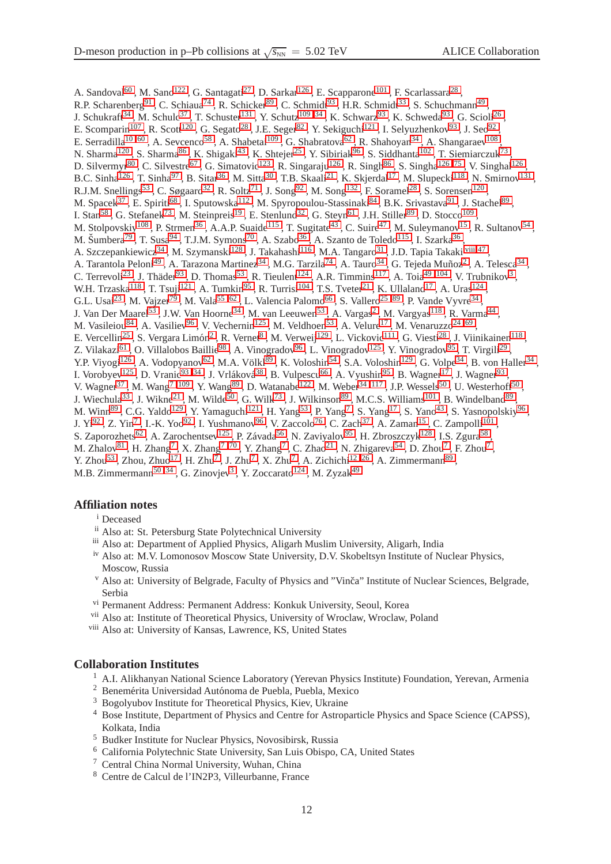A. Sandoval<sup>[60](#page-12-21)</sup>, M. Sano<sup>[122](#page-14-7)</sup>, G. Santagati<sup>[27](#page-12-18)</sup>, D. Sarkar<sup>[126](#page-14-0)</sup>, E. Scapparone<sup>[101](#page-13-8)</sup>, F. Scarlassara<sup>[28](#page-12-28)</sup>, R.P. Scharenberg<sup>[91](#page-13-32)</sup>, C. Schiaua<sup>[74](#page-13-9)</sup>, R. Schicker<sup>[89](#page-13-11)</sup>, C. Schmidt<sup>[93](#page-13-10)</sup>, H.R. Schmidt<sup>[33](#page-12-43)</sup>, S. Schuchmann<sup>[49](#page-12-12)</sup>, J. Schukraft<sup>[34](#page-12-1)</sup>, M. Schulc<sup>[37](#page-12-0)</sup>, T. Schuster<sup>[131](#page-14-1)</sup>, Y. Schutz<sup>109,34</sup>, K. Schwarz<sup>[93](#page-13-10)</sup>, K. Schweda<sup>93</sup>, G. Scioli<sup>[26](#page-12-2)</sup>, , E. Scomparin<sup>[107](#page-13-3)</sup>, R. Scott<sup>[120](#page-14-18)</sup>, G. Segato<sup>[28](#page-12-28)</sup>, J.E. Seger<sup>[82](#page-13-36)</sup>, Y. Sekiguchi<sup>[121](#page-14-13)</sup>, I. Selyuzhenkov<sup>[93](#page-13-10)</sup>, J. Seo<sup>[92](#page-13-29)</sup>, E. Serradilla<sup>10,[60](#page-12-21)</sup>, A. Sevcenco<sup>[58](#page-12-37)</sup>, A. Shabetai<sup>[109](#page-13-14)</sup>, G. Shabratova<sup>[62](#page-13-21)</sup>, R. Shahoyan<sup>[34](#page-12-1)</sup>, A. Shangaraev<sup>[108](#page-13-28)</sup>, N. Sharma<sup>[120](#page-14-18)</sup>, S. Sharma<sup>[86](#page-13-19)</sup>, K. Shigaki<sup>[43](#page-12-51)</sup>, K. Shtejer<sup>[25](#page-12-22)</sup>, Y. Sibiriak<sup>[96](#page-13-6)</sup>, S. Siddhanta<sup>[102](#page-13-37)</sup>, T. Siemiarczuk<sup>[73](#page-13-39)</sup>, D. Silvermyr<sup>[80](#page-13-15)</sup>, C. Silvestre<sup>[67](#page-13-38)</sup>, G. Simatovic<sup>[123](#page-14-19)</sup>, R. Singaraju<sup>[126](#page-14-0)</sup>, R. Singh<sup>[86](#page-13-19)</sup>, S. Singha<sup>126,75</sup>, V. Singhal<sup>126</sup>, B.C. Sinha<sup>[126](#page-14-0)</sup>, T. Sinha<sup>[97](#page-13-35)</sup>, B. Sitar<sup>[36](#page-12-49)</sup>, M. Sitta<sup>[30](#page-12-35)</sup>, T.B. Skaali<sup>[21](#page-12-14)</sup>, K. Skjerdal<sup>[17](#page-12-10)</sup>, M. Slupecki<sup>[118](#page-14-8)</sup>, N. Smirnov<sup>[131](#page-14-1)</sup>, R.J.M. Snellings<sup>[53](#page-12-23)</sup>, C. Søgaard<sup>[32](#page-12-32)</sup>, R. Soltz<sup>[71](#page-13-0)</sup>, J. Song<sup>[92](#page-13-29)</sup>, M. Song<sup>[132](#page-14-14)</sup>, F. Soramel<sup>[28](#page-12-28)</sup>, S. Sorensen<sup>[120](#page-14-18)</sup>, M. Spacek<sup>[37](#page-12-0)</sup>, E. Spiriti<sup>[68](#page-13-26)</sup>, I. Sputowska<sup>[112](#page-13-20)</sup>, M. Spyropoulou-Stassinaki<sup>[84](#page-13-42)</sup>, B.K. Srivastava<sup>[91](#page-13-32)</sup>, J. Stachel<sup>[89](#page-13-11)</sup>, I. Stan<sup>[58](#page-12-37)</sup>, G. Stefanek<sup>[73](#page-13-39)</sup>, M. Steinpreis<sup>[19](#page-12-41)</sup>, E. Stenlund<sup>[32](#page-12-32)</sup>, G. Steyn<sup>[61](#page-13-30)</sup>, J.H. Stiller<sup>[89](#page-13-11)</sup>, D. Stocco<sup>[109](#page-13-14)</sup>, M. Stolpovskiy<sup>[108](#page-13-28)</sup>, P. Strmen<sup>[36](#page-12-49)</sup>, A.A.P. Suaide<sup>[115](#page-14-3)</sup>, T. Sugitate<sup>[43](#page-12-51)</sup>, C. Suire<sup>[47](#page-12-33)</sup>, M. Suleymanov<sup>[15](#page-12-5)</sup>, R. Sultanov<sup>[54](#page-12-6)</sup>, M. Šumbera<sup>[79](#page-13-1)</sup>, T. Susa<sup>[94](#page-13-12)</sup>, T.J.M. Symons<sup>[70](#page-13-27)</sup>, A. Szabo<sup>[36](#page-12-49)</sup>, A. Szanto de Toledo<sup>[115](#page-14-3)</sup>, I. Szarka<sup>36</sup>, A. Szczepankiewicz<sup>[34](#page-12-1)</sup> , M. Szymanski<sup>[128](#page-14-12)</sup> , J. Takahashi<sup>[116](#page-14-10)</sup> , M.A. Tangaro<sup>[31](#page-12-19)</sup> , J.D. Tapia Takaki<sup>[,viii](#page-11-14)[,47](#page-12-33)</sup> , A. Tarantola Peloni<sup>[49](#page-12-12)</sup> , A. Tarazona Martinez<sup>[34](#page-12-1)</sup> , M.G. Tarzila<sup>[74](#page-13-9)</sup> , A. Tauro<sup>34</sup> , G. Tejeda Muñoz<sup>[2](#page-11-3)</sup> , A. Telesca<sup>34</sup> , C. Terrevoli<sup>[23](#page-12-30)</sup>, J. Thäder<sup>[93](#page-13-10)</sup>, D. Thomas<sup>[53](#page-12-23)</sup>, R. Tieulent<sup>[124](#page-14-9)</sup>, A.R. Timmins<sup>[117](#page-14-5)</sup>, A. Toia<sup>49,[104](#page-13-13)</sup>, V. Trubnikov<sup>[3](#page-11-0)</sup>, W.H. Trzaska<sup>[118](#page-14-8)</sup>, T. Tsuji<sup>[121](#page-14-13)</sup>, A. Tumkin<sup>[95](#page-13-33)</sup>, R. Turrisi<sup>[104](#page-13-13)</sup>, T.S. Tveter<sup>[21](#page-12-14)</sup>, K. Ullaland<sup>[17](#page-12-10)</sup>, A. Uras<sup>[124](#page-14-9)</sup>, G.L. Usai<sup>[23](#page-12-30)</sup>, M. Vajzer<sup>[79](#page-13-1)</sup>, M. Vala<sup>[55](#page-12-46),62</sup>, L. Valencia Palomo<sup>[66](#page-13-18)</sup>, S. Vallero<sup>[25](#page-12-22),89</sup>, P. Vande Vyvre<sup>[34](#page-12-1)</sup>, J. Van Der Maarel<sup>[53](#page-12-23)</sup>, J.W. Van Hoorne<sup>[34](#page-12-1)</sup>, M. van Leeuwen<sup>53</sup>, A. Vargas<sup>[2](#page-11-3)</sup>, M. Vargyas<sup>[118](#page-14-8)</sup>, R. Varma<sup>[44](#page-12-3)</sup>, M. Vasileiou<sup>[84](#page-13-42)</sup>, A. Vasiliev<sup>[96](#page-13-6)</sup>, V. Vechernin<sup>[125](#page-14-2)</sup>, M. Veldhoen<sup>[53](#page-12-23)</sup>, A. Velure<sup>[17](#page-12-10)</sup>, M. Venaruzzo<sup>[24](#page-12-29),69</sup>, E. Vercellin<sup>[25](#page-12-22)</sup>, S. Vergara Limón<sup>[2](#page-11-3)</sup>, R. Vernet<sup>[8](#page-11-15)</sup>, M. Verweij<sup>[129](#page-14-6)</sup>, L. Vickovic<sup>[111](#page-13-44)</sup>, G. Viesti<sup>[28](#page-12-28)</sup>, J. Viinikainen<sup>[118](#page-14-8)</sup>, Z. Vilakazi<sup>[61](#page-13-30)</sup> , O. Villalobos Baillie<sup>[98](#page-13-7)</sup> , A. Vinogradov<sup>[96](#page-13-6)</sup> , L. Vinogradov<sup>[125](#page-14-2)</sup> , Y. Vinogradov<sup>[95](#page-13-33)</sup> , T. Virgili<sup>[29](#page-12-38)</sup> , Y.P. Viyogi<sup>[126](#page-14-0)</sup>, A. Vodopyanov<sup>[62](#page-13-21)</sup>, M.A. Völkl<sup>[89](#page-13-11)</sup>, K. Voloshin<sup>[54](#page-12-6)</sup>, S.A. Voloshin<sup>[129](#page-14-6)</sup>, G. Volpe<sup>[34](#page-12-1)</sup>, B. von Haller<sup>34</sup>, I. Vorobyev<sup>[125](#page-14-2)</sup>, D. Vranic<sup>93,[34](#page-12-1)</sup>, J. Vrláková<sup>[38](#page-12-26)</sup>, B. Vulpescu<sup>[66](#page-13-18)</sup>, A. Vyushin<sup>[95](#page-13-33)</sup>, B. Wagner<sup>[17](#page-12-10)</sup>, J. Wagner<sup>[93](#page-13-10)</sup>, V. Wagner<sup>[37](#page-12-0)</sup>, M. Wang<sup>7, [109](#page-13-14)</sup>, Y. Wang<sup>[89](#page-13-11)</sup>, D. Watanabe<sup>[122](#page-14-7)</sup>, M. Weber<sup>34, [117](#page-14-5)</sup>, J.P. Wessels<sup>[50](#page-12-11)</sup>, U. Westerhoff<sup>50</sup>, J. Wiechula<sup>[33](#page-12-43)</sup>, J. Wikne<sup>[21](#page-12-14)</sup>, M. Wilde<sup>[50](#page-12-11)</sup>, G. Wilk<sup>[73](#page-13-39)</sup>, J. Wilkinson<sup>[89](#page-13-11)</sup>, M.C.S. Williams<sup>[101](#page-13-8)</sup>, B. Windelband<sup>89</sup>, M. Winn<sup>[89](#page-13-11)</sup>, C.G. Yaldo<sup>[129](#page-14-6)</sup>, Y. Yamaguchi<sup>[121](#page-14-13)</sup>, H. Yang<sup>[53](#page-12-23)</sup>, P. Yang<sup>[7](#page-11-2)</sup>, S. Yang<sup>[17](#page-12-10)</sup>, S. Yano<sup>[43](#page-12-51)</sup>, S. Yasnopolskiy<sup>[96](#page-13-6)</sup>, J. Yi<sup>[92](#page-13-29)</sup>, Z. Yin<sup>[7](#page-11-2)</sup>, I.-K. Yoo<sup>92</sup>, I. Yushmanov<sup>[96](#page-13-6)</sup>, V. Zaccolo<sup>[76](#page-13-22)</sup>, C. Zach<sup>[37](#page-12-0)</sup>, A. Zaman<sup>[15](#page-12-5)</sup>, C. Zampolli<sup>[101](#page-13-8)</sup>, S. Zaporozhets<sup>[62](#page-13-21)</sup>, A. Zarochentsev<sup>[125](#page-14-2)</sup>, P. Závada<sup>[56](#page-12-44)</sup>, N. Zaviyalov<sup>[95](#page-13-33)</sup>, H. Zbroszczyk<sup>[128](#page-14-12)</sup>, I.S. Zgura<sup>[58](#page-12-37)</sup>, M. Zhalov $^{81}$  $^{81}$  $^{81}$  , H. Zhang<sup>[7](#page-11-2)</sup> , X. Zhang<sup>7 [,70](#page-13-27)</sup> , Y. Zhang<sup>7</sup> , C. Zhao<sup>[21](#page-12-14)</sup> , N. Zhigareva<sup>[54](#page-12-6)</sup> , D. Zhou<sup>7</sup> , F. Zhou<sup>7</sup>, Y. Zhou<sup>[53](#page-12-23)</sup>, Zhou, Zhuo<sup>[17](#page-12-10)</sup>, H. Zhu<sup>[7](#page-11-2)</sup>, J. Zhu<sup>7</sup>, X. Zhu<sup>7</sup>, A. Zichichi<sup>[12](#page-12-7), 26</sup>, A. Zimmermann<sup>[89](#page-13-11)</sup>, M.B. Zimmermann<sup>[50](#page-12-11) , [3](#page-11-0)4</sup> , G. Zinovjev<sup>3</sup> , Y. Zoccarato<sup>[124](#page-14-9)</sup> , M. Zyzak<sup>[49](#page-12-12)</sup>

### <span id="page-11-5"></span><span id="page-11-1"></span>**Affiliation notes**

#### <sup>i</sup> Deceased

- <span id="page-11-7"></span>ii Also at: St. Petersburg State Polytechnical University
- <span id="page-11-9"></span>iii Also at: Department of Applied Physics, Aligarh Muslim University, Aligarh, India
- iv Also at: M.V. Lomonosov Moscow State University, D.V. Skobeltsyn Institute of Nuclear Physics, Moscow, Russia
- <span id="page-11-10"></span>v Also at: University of Belgrade, Faculty of Physics and "Vinča" Institute of Nuclear Sciences, Belgrade, Serbia
- <span id="page-11-13"></span><span id="page-11-11"></span>vi Permanent Address: Permanent Address: Konkuk University, Seoul, Korea
- <span id="page-11-14"></span>vii Also at: Institute of Theoretical Physics, University of Wroclaw, Wroclaw, Poland
- viii Also at: University of Kansas, Lawrence, KS, United States

#### <span id="page-11-6"></span><span id="page-11-3"></span>**Collaboration Institutes**

- $<sup>1</sup>$  A.I. Alikhanyan National Science Laboratory (Yerevan Physics Institute) Foundation, Yerevan, Armenia</sup>
- <span id="page-11-0"></span><sup>2</sup> Benemérita Universidad Autónoma de Puebla, Puebla, Mexico
- <span id="page-11-4"></span><sup>3</sup> Bogolyubov Institute for Theoretical Physics, Kiev, Ukraine
- <sup>4</sup> Bose Institute, Department of Physics and Centre for Astroparticle Physics and Space Science (CAPSS), Kolkata, India
- <span id="page-11-12"></span><span id="page-11-8"></span><sup>5</sup> Budker Institute for Nuclear Physics, Novosibirsk, Russia
- <span id="page-11-2"></span><sup>6</sup> California Polytechnic State University, San Luis Obispo, CA, United States
- <span id="page-11-15"></span><sup>7</sup> Central China Normal University, Wuhan, China
- <sup>8</sup> Centre de Calcul de l'IN2P3, Villeurbanne, France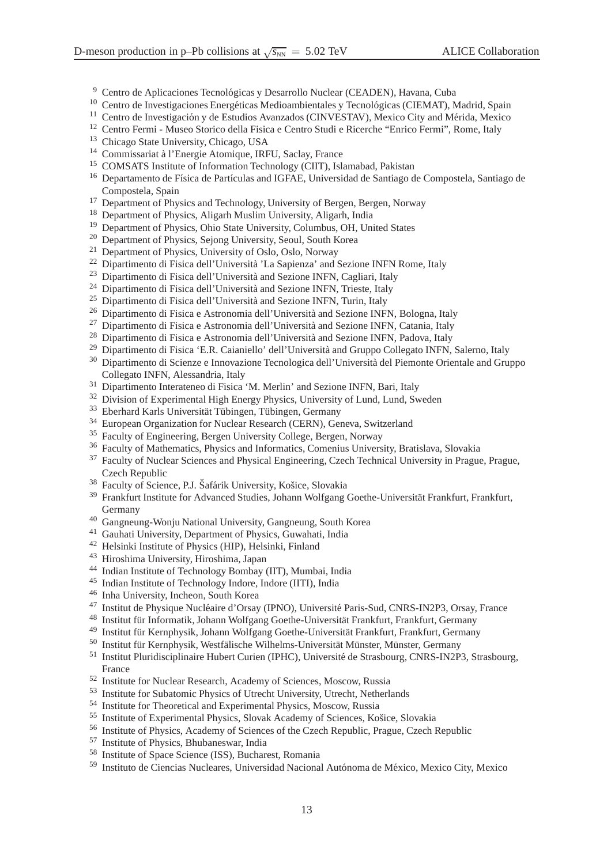- <span id="page-12-31"></span><sup>9</sup> Centro de Aplicaciones Tecnológicas y Desarrollo Nuclear (CEADEN), Havana, Cuba
- <span id="page-12-34"></span><span id="page-12-25"></span><sup>10</sup> Centro de Investigaciones Energéticas Medioambientales y Tecnológicas (CIEMAT), Madrid, Spain
- <span id="page-12-7"></span><sup>11</sup> Centro de Investigación y de Estudios Avanzados (CINVESTAV), Mexico City and Mérida, Mexico
- <span id="page-12-42"></span><sup>12</sup> Centro Fermi - Museo Storico della Fisica e Centro Studi e Ricerche "Enrico Fermi", Rome, Italy
- <span id="page-12-16"></span><sup>13</sup> Chicago State University, Chicago, USA
- <span id="page-12-5"></span><sup>14</sup> Commissariat à l'Energie Atomique, IRFU, Saclay, France
- <span id="page-12-13"></span><sup>15</sup> COMSATS Institute of Information Technology (CIIT), Islamabad, Pakistan
- <sup>16</sup> Departamento de Física de Partículas and IGFAE, Universidad de Santiago de Compostela, Santiago de Compostela, Spain
- <span id="page-12-10"></span><span id="page-12-4"></span><sup>17</sup> Department of Physics and Technology, University of Bergen, Bergen, Norway
- <span id="page-12-41"></span><sup>18</sup> Department of Physics, Aligarh Muslim University, Aligarh, India
- <span id="page-12-45"></span><sup>19</sup> Department of Physics, Ohio State University, Columbus, OH, United States
- <span id="page-12-14"></span><sup>20</sup> Department of Physics, Sejong University, Seoul, South Korea
- <span id="page-12-48"></span><sup>21</sup> Department of Physics, University of Oslo, Oslo, Norway
- <span id="page-12-30"></span><sup>22</sup> Dipartimento di Fisica dell'Università 'La Sapienza' and Sezione INFN Rome, Italy
- <span id="page-12-29"></span> $^{23}$  Dipartimento di Fisica dell'Università and Sezione INFN, Cagliari, Italy
- <span id="page-12-22"></span><sup>24</sup> Dipartimento di Fisica dell'Università and Sezione INFN, Trieste, Italy
- <span id="page-12-2"></span> $25$  Dipartimento di Fisica dell'Università and Sezione INFN, Turin, Italy
- <span id="page-12-18"></span><sup>26</sup> Dipartimento di Fisica e Astronomia dell'Università and Sezione INFN, Bologna, Italy
- <span id="page-12-28"></span><sup>27</sup> Dipartimento di Fisica e Astronomia dell'Università and Sezione INFN, Catania, Italy
- <span id="page-12-38"></span><sup>28</sup> Dipartimento di Fisica e Astronomia dell'Università and Sezione INFN, Padova, Italy
- <span id="page-12-35"></span><sup>29</sup> Dipartimento di Fisica 'E.R. Caianiello' dell'Università and Gruppo Collegato INFN, Salerno, Italy
- <sup>30</sup> Dipartimento di Scienze e Innovazione Tecnologica dell'Università del Piemonte Orientale and Gruppo Collegato INFN, Alessandria, Italy
- <span id="page-12-32"></span><span id="page-12-19"></span><sup>31</sup> Dipartimento Interateneo di Fisica 'M. Merlin' and Sezione INFN, Bari, Italy
- <span id="page-12-43"></span><sup>32</sup> Division of Experimental High Energy Physics, University of Lund, Lund, Sweden
- <span id="page-12-1"></span><sup>33</sup> Eberhard Karls Universität Tübingen, Tübingen, Germany
- <span id="page-12-8"></span><sup>34</sup> European Organization for Nuclear Research (CERN), Geneva, Switzerland
- <span id="page-12-49"></span><sup>35</sup> Faculty of Engineering, Bergen University College, Bergen, Norway
- <span id="page-12-0"></span><sup>36</sup> Faculty of Mathematics, Physics and Informatics, Comenius University, Bratislava, Slovakia
- <sup>37</sup> Faculty of Nuclear Sciences and Physical Engineering, Czech Technical University in Prague, Prague, Czech Republic
- <span id="page-12-26"></span><span id="page-12-9"></span><sup>38</sup> Faculty of Science, P.J. Šafárik University, Košice, Slovakia
- <sup>39</sup> Frankfurt Institute for Advanced Studies, Johann Wolfgang Goethe-Universität Frankfurt, Frankfurt, Germany
- <span id="page-12-24"></span><span id="page-12-15"></span><sup>40</sup> Gangneung-Wonju National University, Gangneung, South Korea
- <span id="page-12-39"></span><sup>41</sup> Gauhati University, Department of Physics, Guwahati, India
- <span id="page-12-51"></span><sup>42</sup> Helsinki Institute of Physics (HIP), Helsinki, Finland
- <span id="page-12-3"></span><sup>43</sup> Hiroshima University, Hiroshima, Japan
- <span id="page-12-50"></span><sup>44</sup> Indian Institute of Technology Bombay (IIT), Mumbai, India
- <span id="page-12-47"></span><sup>45</sup> Indian Institute of Technology Indore, Indore (IITI), India
- <span id="page-12-33"></span><sup>46</sup> Inha University, Incheon, South Korea
- <span id="page-12-27"></span><sup>47</sup> Institut de Physique Nucléaire d'Orsay (IPNO), Université Paris-Sud, CNRS-IN2P3, Orsay, France
- <span id="page-12-12"></span><sup>48</sup> Institut für Informatik, Johann Wolfgang Goethe-Universität Frankfurt, Frankfurt, Germany
- <span id="page-12-11"></span><sup>49</sup> Institut für Kernphysik, Johann Wolfgang Goethe-Universität Frankfurt, Frankfurt, Germany
- <span id="page-12-20"></span><sup>50</sup> Institut für Kernphysik, Westfälische Wilhelms-Universität Münster, Münster, Germany
- <sup>51</sup> Institut Pluridisciplinaire Hubert Curien (IPHC), Université de Strasbourg, CNRS-IN2P3, Strasbourg, France
- <span id="page-12-40"></span><span id="page-12-23"></span><sup>52</sup> Institute for Nuclear Research, Academy of Sciences, Moscow, Russia
- <span id="page-12-6"></span><sup>53</sup> Institute for Subatomic Physics of Utrecht University, Utrecht, Netherlands
- <span id="page-12-46"></span><sup>54</sup> Institute for Theoretical and Experimental Physics, Moscow, Russia
- <span id="page-12-44"></span><sup>55</sup> Institute of Experimental Physics, Slovak Academy of Sciences, Košice, Slovakia
- <span id="page-12-17"></span><sup>56</sup> Institute of Physics, Academy of Sciences of the Czech Republic, Prague, Czech Republic
- <span id="page-12-37"></span><sup>57</sup> Institute of Physics, Bhubaneswar, India
- <span id="page-12-36"></span><sup>58</sup> Institute of Space Science (ISS), Bucharest, Romania
- <span id="page-12-21"></span><sup>59</sup> Instituto de Ciencias Nucleares, Universidad Nacional Autónoma de México, Mexico City, Mexico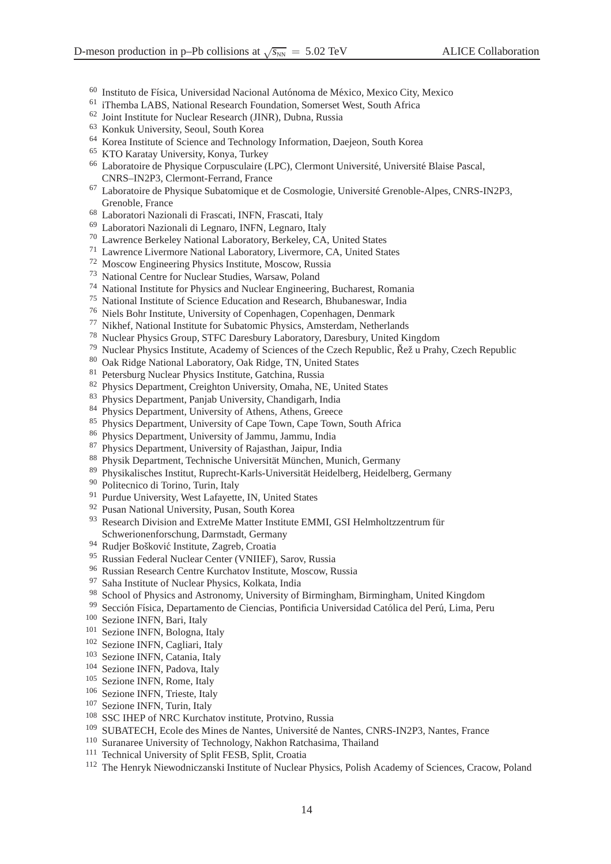- <span id="page-13-30"></span><sup>60</sup> Instituto de Física, Universidad Nacional Autónoma de México, Mexico City, Mexico
- <span id="page-13-21"></span>iThemba LABS, National Research Foundation, Somerset West, South Africa
- <span id="page-13-50"></span>Joint Institute for Nuclear Research (JINR), Dubna, Russia
- <span id="page-13-5"></span>Konkuk University, Seoul, South Korea
- <span id="page-13-45"></span>Korea Institute of Science and Technology Information, Daejeon, South Korea
- <span id="page-13-18"></span>KTO Karatay University, Konya, Turkey
- <sup>66</sup> Laboratoire de Physique Corpusculaire (LPC), Clermont Université, Université Blaise Pascal, CNRS–IN2P3, Clermont-Ferrand, France
- <span id="page-13-38"></span><sup>67</sup> Laboratoire de Physique Subatomique et de Cosmologie, Université Grenoble-Alpes, CNRS-IN2P3, Grenoble, France
- <span id="page-13-52"></span><span id="page-13-26"></span>Laboratori Nazionali di Frascati, INFN, Frascati, Italy
- <span id="page-13-27"></span>Laboratori Nazionali di Legnaro, INFN, Legnaro, Italy
- <span id="page-13-0"></span>Lawrence Berkeley National Laboratory, Berkeley, CA, United States
- <span id="page-13-23"></span>Lawrence Livermore National Laboratory, Livermore, CA, United States
- <span id="page-13-39"></span>Moscow Engineering Physics Institute, Moscow, Russia
- <span id="page-13-9"></span>National Centre for Nuclear Studies, Warsaw, Poland
- <span id="page-13-49"></span>National Institute for Physics and Nuclear Engineering, Bucharest, Romania
- <span id="page-13-22"></span>National Institute of Science Education and Research, Bhubaneswar, India
- <span id="page-13-31"></span>Niels Bohr Institute, University of Copenhagen, Copenhagen, Denmark
- <span id="page-13-48"></span>Nikhef, National Institute for Subatomic Physics, Amsterdam, Netherlands
- <span id="page-13-1"></span>Nuclear Physics Group, STFC Daresbury Laboratory, Daresbury, United Kingdom
- <span id="page-13-15"></span>79 Nuclear Physics Institute, Academy of Sciences of the Czech Republic, Řež u Prahy, Czech Republic
- <span id="page-13-24"></span>Oak Ridge National Laboratory, Oak Ridge, TN, United States
- <span id="page-13-36"></span>Petersburg Nuclear Physics Institute, Gatchina, Russia
- <span id="page-13-2"></span>Physics Department, Creighton University, Omaha, NE, United States
- <span id="page-13-42"></span>Physics Department, Panjab University, Chandigarh, India
- <span id="page-13-16"></span>Physics Department, University of Athens, Athens, Greece
- <span id="page-13-19"></span>Physics Department, University of Cape Town, Cape Town, South Africa
- <span id="page-13-51"></span>Physics Department, University of Jammu, Jammu, India
- <span id="page-13-25"></span>Physics Department, University of Rajasthan, Jaipur, India
- <span id="page-13-11"></span>88 Physik Department, Technische Universität München, Munich, Germany
- <span id="page-13-4"></span>89 Physikalisches Institut, Ruprecht-Karls-Universität Heidelberg, Heidelberg, Germany
- <span id="page-13-32"></span>Politecnico di Torino, Turin, Italy
- <span id="page-13-29"></span><sup>91</sup> Purdue University, West Lafayette, IN, United States
- <span id="page-13-10"></span>Pusan National University, Pusan, South Korea
- Research Division and ExtreMe Matter Institute EMMI, GSI Helmholtzzentrum für Schwerionenforschung, Darmstadt, Germany
- <span id="page-13-33"></span><span id="page-13-12"></span><sup>94</sup> Rudjer Bošković Institute, Zagreb, Croatia
- <span id="page-13-6"></span>Russian Federal Nuclear Center (VNIIEF), Sarov, Russia
- <span id="page-13-35"></span>Russian Research Centre Kurchatov Institute, Moscow, Russia
- <span id="page-13-7"></span>Saha Institute of Nuclear Physics, Kolkata, India
- <span id="page-13-34"></span>School of Physics and Astronomy, University of Birmingham, Birmingham, United Kingdom
- <span id="page-13-40"></span>99 Sección Física, Departamento de Ciencias, Pontificia Universidad Católica del Perú, Lima, Peru
- <span id="page-13-8"></span>Sezione INFN, Bari, Italy
- <span id="page-13-37"></span>Sezione INFN, Bologna, Italy
- <span id="page-13-17"></span>Sezione INFN, Cagliari, Italy
- <span id="page-13-13"></span>Sezione INFN, Catania, Italy
- <span id="page-13-41"></span>Sezione INFN, Padova, Italy
- <span id="page-13-43"></span>Sezione INFN, Rome, Italy
- <span id="page-13-3"></span>Sezione INFN, Trieste, Italy
- <span id="page-13-28"></span>Sezione INFN, Turin, Italy
- <span id="page-13-14"></span>SSC IHEP of NRC Kurchatov institute, Protvino, Russia
- <span id="page-13-47"></span><sup>109</sup> SUBATECH, Ecole des Mines de Nantes, Université de Nantes, CNRS-IN2P3, Nantes, France
- <span id="page-13-44"></span>Suranaree University of Technology, Nakhon Ratchasima, Thailand
- <span id="page-13-20"></span><sup>111</sup> Technical University of Split FESB, Split, Croatia
- <span id="page-13-46"></span>The Henryk Niewodniczanski Institute of Nuclear Physics, Polish Academy of Sciences, Cracow, Poland